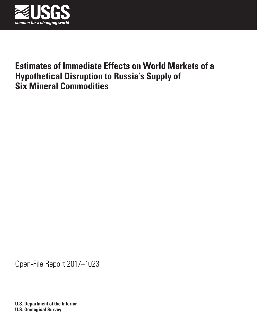

# **Estimates of Immediate Effects on World Markets of a Hypothetical Disruption to Russia's Supply of Six Mineral Commodities**

Open-File Report 2017–1023

**U.S. Department of the Interior U.S. Geological Survey**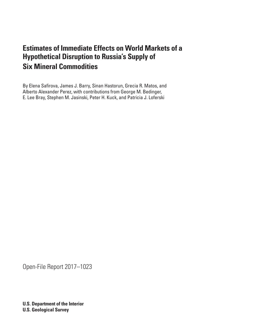# **Estimates of Immediate Effects on World Markets of a Hypothetical Disruption to Russia's Supply of Six Mineral Commodities**

By Elena Safirova, James J. Barry, Sinan Hastorun, Grecia R. Matos, and Alberto Alexander Perez, with contributions from George M. Bedinger, E. Lee Bray, Stephen M. Jasinski, Peter H. Kuck, and Patricia J. Loferski

Open-File Report 2017–1023

**U.S. Department of the Interior U.S. Geological Survey**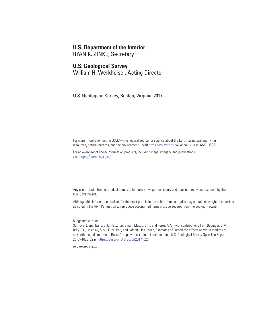## **U.S. Department of the Interior**

RYAN K. ZINKE, Secretary

### **U.S. Geological Survey**

William H. Werkheiser, Acting Director

U.S. Geological Survey, Reston, Virginia: 2017

For more information on the USGS—the Federal source for science about the Earth, its natural and living resources, natural hazards, and the environment—visit <https://www.usgs.gov> or call 1–888–ASK–USGS.

For an overview of USGS information products, including maps, imagery, and publications, visit [https://store.usgs.gov/.](https://store.usgs.gov)

Any use of trade, firm, or product names is for descriptive purposes only and does not imply endorsement by the U.S. Government.

Although this information product, for the most part, is in the public domain, it also may contain copyrighted materials as noted in the text. Permission to reproduce copyrighted items must be secured from the copyright owner.

Suggested citation:

Safirova, Elena, Barry, J.J., Hastorun, Sinan, Matos, G.R., and Perez, A.A., with contributions from Bedinger, G.M., Bray, E.L., Jasinski, S.M., Kuck, P.H., and Loferski, P.J., 2017, Estimates of immediate effects on world markets of a hypothetical disruption to Russia's supply of six mineral commodities: U.S. Geological Survey Open-File Report 2017–1023, 22 p.,<https://doi.org/10.3133/ofr20171023>.

ISSN 2331-1258 (online)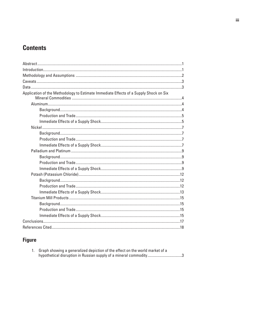# **Contents**

# **Figure**

| Graph showing a generalized depiction of the effect on the world market of a |
|------------------------------------------------------------------------------|
| hypothetical disruption in Russian supply of a mineral commodity3            |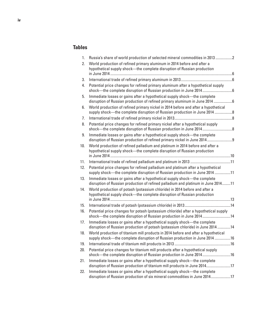## **Tables**

| 1.  | Russia's share of world production of selected mineral commodities in 2013 2                                                                                     |  |
|-----|------------------------------------------------------------------------------------------------------------------------------------------------------------------|--|
| 2.  | World production of refined primary aluminum in 2014 before and after a<br>hypothetical supply shock-the complete disruption of Russian production               |  |
|     |                                                                                                                                                                  |  |
| 3.  |                                                                                                                                                                  |  |
| 4.  | Potential price changes for refined primary aluminum after a hypothetical supply<br>shock-the complete disruption of Russian production in June 2014             |  |
| 5.  | Immediate losses or gains after a hypothetical supply shock-the complete<br>disruption of Russian production of refined primary aluminum in June 2014 6          |  |
| 6.  | World production of refined primary nickel in 2014 before and after a hypothetical<br>supply shock-the complete disruption of Russian production in June 2014 8  |  |
| 7.  |                                                                                                                                                                  |  |
| 8.  | Potential price changes for refined primary nickel after a hypothetical supply                                                                                   |  |
| 9.  | Immediate losses or gains after a hypothetical supply shock—the complete<br>disruption of Russian production of refined primary nickel in June 20149             |  |
| 10. | World production of refined palladium and platinum in 2014 before and after a<br>hypothetical supply shock—the complete disruption of Russian production         |  |
| 11. |                                                                                                                                                                  |  |
| 12. | Potential price changes for refined palladium and platinum after a hypothetical<br>supply shock-the complete disruption of Russian production in June 2014 11    |  |
| 13. | Immediate losses or gains after a hypothetical supply shock-the complete<br>disruption of Russian production of refined palladium and platinum in June 201411    |  |
| 14. | World production of potash (potassium chloride) in 2014 before and after a<br>hypothetical supply shock-the complete disruption of Russian production            |  |
|     |                                                                                                                                                                  |  |
| 15. |                                                                                                                                                                  |  |
| 16. | Potential price changes for potash (potassium chloride) after a hypothetical supply<br>shock-the complete disruption of Russian production in June 201414        |  |
| 17. | Immediate losses or gains after a hypothetical supply shock-the complete<br>disruption of Russian production of potash (potassium chloride) in June 2014 14      |  |
| 18. | World production of titanium mill products in 2014 before and after a hypothetical<br>supply shock-the complete disruption of Russian production in June 2014 16 |  |
| 19. |                                                                                                                                                                  |  |
| 20. | Potential price changes for titanium mill products after a hypothetical supply<br>shock-the complete disruption of Russian production in June 201416             |  |
| 21. | Immediate losses or gains after a hypothetical supply shock-the complete<br>disruption of Russian production of titanium mill products in June 201417            |  |
| 22. | Immediate losses or gains after a hypothetical supply shock-the complete<br>disruption of Russian production of six mineral commodities in June 201417           |  |
|     |                                                                                                                                                                  |  |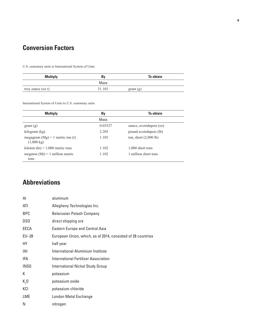# **Conversion Factors**

U.S. customary units to International System of Units

| <b>Multiply</b>   | Bv     | To obtain |
|-------------------|--------|-----------|
|                   | Mass   |           |
| troy ounce (oz t) | 31.103 | gram(g)   |

International System of Units to U.S. customary units

| <b>Multiply</b>                                            | By      | <b>To obtain</b>        |
|------------------------------------------------------------|---------|-------------------------|
|                                                            | Mass    |                         |
| gram(g)                                                    | 0.03527 | ounce, avoirdupois (oz) |
| kilogram (kg)                                              | 2.205   | pound avoirdupois (lb)  |
| megagram $(Mg) = 1$ metric ton (t)<br>$(1,000 \text{ kg})$ | 1.102   | ton, short $(2,000$ lb) |
| kiloton (kt) = $1,000$ metric tons                         | 1.102   | $1,000$ short tons      |
| megaton (Mt) = 1 million metric<br>tons                    | 1.102   | 1 million short tons    |

# **Abbreviations**

| Al              | aluminum                                                     |
|-----------------|--------------------------------------------------------------|
| ATI             | Allegheny Technologies Inc.                                  |
| <b>BPC</b>      | <b>Belarusian Potash Company</b>                             |
| DS <sub>0</sub> | direct shipping ore                                          |
| EECA            | <b>Eastern Europe and Central Asia</b>                       |
| EU-28           | European Union, which, as of 2014, consisted of 28 countries |
| НY              | half year                                                    |
| IAI             | International Aluminium Institute                            |
| IFA             | <b>International Fertilizer Association</b>                  |
| <b>INSG</b>     | <b>International Nickel Study Group</b>                      |
| К               | potassium                                                    |
| K, 0            | potassium oxide                                              |
| KCI             | potassium chloride                                           |
| LME             | London Metal Exchange                                        |
| Ν               | nitrogen                                                     |
|                 |                                                              |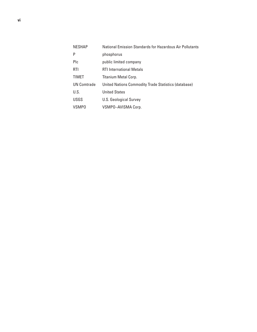| <b>NESHAP</b>      | National Emission Standards for Hazardous Air Pollutants |
|--------------------|----------------------------------------------------------|
| P                  | phosphorus                                               |
| Plc                | public limited company                                   |
| RTI                | <b>RTI International Metals</b>                          |
| <b>TIMET</b>       | Titanium Metal Corp.                                     |
| <b>UN Comtrade</b> | United Nations Commodity Trade Statistics (database)     |
| U.S.               | <b>United States</b>                                     |
| <b>USGS</b>        | U.S. Geological Survey                                   |
| VSMPO              | VSMP0-AVISMA Corp.                                       |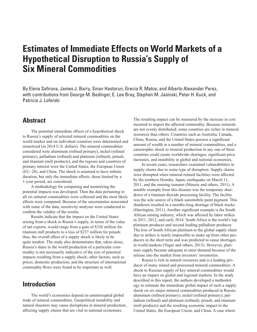# <span id="page-8-0"></span>**Estimates of Immediate Effects on World Markets of a Hypothetical Disruption to Russia's Supply of Six Mineral Commodities**

By Elena Safirova, James J. Barry, Sinan Hastorun, Grecia R. Matos, and Alberto Alexander Perez, with contributions from George M. Bedinger, E. Lee Bray, Stephen M. Jasinski, Peter H. Kuck, and Patricia J. Loferski

## **Abstract**

The potential immediate effects of a hypothetical shock to Russia's supply of selected mineral commodities on the world market and on individual countries were determined and monetized (in 2014 U.S. dollars). The mineral commodities considered were aluminum (refined primary), nickel (refined primary), palladium (refined) and platinum (refined), potash, and titanium (mill products), and the regions and countries of primary interest were the United States, the European Union (EU–28), and China. The shock is assumed to have infinite duration, but only the immediate effects, those limited by a 1-year period, are considered.

A methodology for computing and monetizing the potential impacts was developed. Then the data pertaining to all six mineral commodities were collected and the most likely effects were computed. Because of the uncertainties associated with some of the data, sensitivity analyses were conducted to confirm the validity of the results.

Results indicate that the impact on the United States arising from a shock to Russia's supply, in terms of the value of net exports, would range from a gain of \$336 million for titanium mill products to a loss of \$237 million for potash; thus, the overall effect of a supply shock is likely to be quite modest. The study also demonstrates that, taken alone, Russia's share in the world production of a particular commodity is not necessarily indicative of the size of potential impacts resulting from a supply shock; other factors, such as prices, domestic production, and the structure of international commodity flows were found to be important as well.

## **Introduction**

The world's economies depend on uninterrupted global trade of mineral commodities. Geopolitical instability and natural disasters may cause disruptions in mineral production, affecting supply chains that are vital to national economies.

The resulting impact can be measured by the increase in cost incurred to import the affected commodity. Because minerals are not evenly distributed, some countries are richer in mineral resources than others. Countries such as Australia, Canada, China, Russia, and the United States possess a significant amount of wealth in a number of mineral commodities, and a catastrophic shock to mineral production in any one of these countries could create worldwide shortages, significant price increases, and instability in global and national economies.

In recent years, researchers examined vulnerabilities in supply chains due to some type of disruption. Supply chains were disrupted when mineral-related facilities were affected by the northern Honshu, Japan, earthquake on March 11, 2011, and the ensuing tsunami (Menzie and others, 2011). A notable example from this disaster was the temporary shutdown of a titanium dioxide processing facility. The facility was the sole source of a black automobile paint pigment. This shutdown resulted in a months-long shortage of black trucks (Harrington, 2011). Another significant example is the South African mining industry, which was affected by labor strikes in 2011, 2012, and early 2014. South Africa is the world's top platinum producer and second leading palladium producer. The loss of South African platinum to the global supply chain due to strikes is nearly impossible to make up from other producers in the short term and was predicted to cause shortages in world markets (Yager and others, 2013). However, platinum supply became adequate to meet demand because of the release into the market from investors' inventories.

Russia is rich in natural resources and is a leading producer of many mined and processed mineral commodities. A shock to Russian supply of key mineral commodities would have an impact on global and regional markets. In the study described in this report, the authors developed a methodology to estimate the immediate global impact of such a supply shock on six major mineral commodities produced in Russia: aluminum (refined primary), nickel (refined primary), palladium (refined) and platinum (refined), potash, and titanium (mill products) and the resulting economic impact to the United States, the European Union, and China. A case where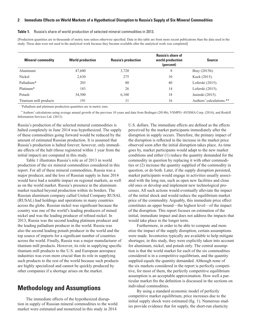#### <span id="page-9-0"></span>**2 Immediate Effects on World Markets of a Hypothetical Disruption to Russia's Supply of Six Mineral Commodities**

#### **Table 1.** Russia's share of world production of selected mineral commodities in 2013.

[Production quantities are in thousands of metric tons unless otherwise specified. Data in this table are from more recent publications than the data used in the study. These data were not used in the analytical work because they became available after the analytical work was completed]

| <b>Mineral commodity</b> | <b>World production</b> | <b>Russia's production</b> | <b>Russia's share of</b><br>world production<br>(percent) | <b>Source</b>            |
|--------------------------|-------------------------|----------------------------|-----------------------------------------------------------|--------------------------|
| Aluminum                 | 47,600                  | 3,720                      | 8                                                         | Bray $(2015b)$ .         |
| Nickel                   | 2,630                   | 275                        | 10                                                        | Kuck (2015).             |
| Palladium*               | 203                     | 80                         | 40                                                        | Loferski (2015).         |
| Platinum <sup>*</sup>    | 183                     | 26                         | 14                                                        | Loferski (2015).         |
| Potash                   | 34,500                  | 6,100                      | 18                                                        | Jasinski (2015).         |
| Titanium mill products   | 191                     | 31                         | 16                                                        | Authors' calculations.** |

\* Palladium and platinum production quantities are in metric tons.

\*\*Authors' calculations using average annual growth of the previous 10 years and data from Bedinger (2014b), VSMPO–AVISMA Corp. (2014), and Roskill Information Services Ltd. (2013).

Russia's production of the selected mineral commodities is halted completely in June 2014 was hypothesized. The supply of these commodities going forward would be reduced by the amount of estimated Russian production. It is assumed that Russia's production is halted forever; however, only immediate effects of the halt (those registered within 1 year from the initial impact) are computed in this study.

Table 1 illustrates Russia's role as of 2013 in world production of the six mineral commodities considered in this report. For all of these mineral commodities, Russia was a major producer, and the loss of Russian supply in June 2014 would have had a notable impact on regional markets, as well as on the world market. Russia's presence in the aluminum market reached beyond production within its borders. The Russian aluminum company called United Company RUSAL (RUSAL) had holdings and operations in many countries across the globe. Russian nickel was significant because the country was one of the world's leading producers of mined nickel and was the leading producer of refined nickel. In 2013, Russia was the second leading platinum producer and the leading palladium producer in the world. Russia was also the second leading potash producer in the world and the top source of imports for a significant number of countries across the world. Finally, Russia was a major manufacturer of titanium mill products. However, its role in supplying specific titanium mill products to the U.S. and European aerospace industries was even more crucial than its role in supplying such products to the rest of the world because such products are highly specialized and cannot be quickly produced by other companies if a shortage arises on the market.

## **Methodology and Assumptions**

The immediate effects of the hypothesized disruption in supply of Russian mineral commodities to the world market were estimated and monetized in this study in 2014

U.S. dollars. The immediate effects are defined as the effects perceived by the market participants immediately after the disruption in supply occurs. Therefore, the primary impact of the disruption is reflected in the increase in the market price observed soon after the initial disruption takes place. As time goes by, market participants would adapt to the new market conditions and either (1) reduce the quantity demanded for the commodity in question by replacing it with other commodities or (2) increase the quantity supplied of the commodity in question, or do both. Later, if the supply disruption persisted, market participants would engage in activities usually associated with the long run, such as open new facilities and close old ones or develop and implement new technological processes. All such actions would eventually alleviate the impact of the initial shock and would reduce the equilibrium market price of the commodity. Arguably, this immediate price effect constitutes an upper bound—the highest level—of the impact of the disruption. This report focuses on estimation of the initial, immediate impact and does not address the impacts that would take place in the longer term.

Furthermore, in order to be able to compute and monetize the impact of the supply disruption, certain assumptions were made. Inventories typically are available to help mitigate shortages; in this study, they were explicitly taken into account for aluminum, nickel, and potash only. The central assumption is that the world market for each of the six commodities considered is in a competitive equilibrium, and the quantity supplied equals the quantity demanded. Although none of the six markets considered in the report is perfectly competitive, for most of them, the perfectly competitive equilibrium assumption is an acceptable approximation. How well a particular market fits the definition is discussed in the sections on individual commodities.

By using a standard economic model of perfectly competitive market equilibrium, price increases due to the initial supply shock were estimated (fig. 1). Numerous studies provide evidence that for supply, the short-run elasticity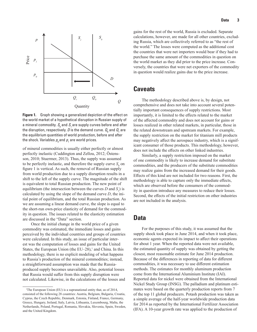<span id="page-10-0"></span>

**Figure 1.** Graph showing a generalized depiction of the effect on the world market of a hypothetical disruption in Russian supply of a mineral commodity.  $\mathcal{S}_{_{\textrm{0}}}$  and  $\mathcal{S}_{_{\textrm{1}}}$  are supply curves before and after the disruption, respectively. *D* is the demand curve.  $\mathcal{Q}_{_{\textrm{0}}}$  and  $\mathcal{Q}_{_{\textrm{1}}}$  are the equilibrium quantities of world production, before and after the shock. Variables  $\rho_{_0}$  and  $\rho_{_1}$  are world prices.

of mineral commodities is usually either perfectly or almost perfectly inelastic (Cuddington and Zellou, 2012; Östensson, 2010; Stuermer, 2013). Thus, the supply was assumed to be perfectly inelastic, and therefore the supply curve  $S_0$  on figure 1 is vertical. As such, the removal of Russian supply from world production due to a supply disruption results in a shift to the left of the supply curve. The magnitude of the shift is equivalent to total Russian production. The new point of equilibrium (the intersection between the curves  $D$  and  $S_1$ ) is calculated by using the slope of the demand curve *D*, the initial point of equilibrium, and the total Russian production. As we are assuming a linear demand curve, the slope is equal to the short-run own-price elasticity of demand for the commodity in question. The issues related to the elasticity estimation are discussed in the "Data" section.

Once the initial change in the world price of a given commodity was estimated, the immediate losses and gains perceived by the individual countries and groups of countries were calculated. In this study, an issue of particular interest was the computation of losses and gains for the United States, the European Union (the  $EU-28$ ),<sup>1</sup> and China. In this methodology, there is no explicit modeling of what happens to Russia's production of the mineral commodities; instead, a straightforward assumption was made that the Russiaproduced supply becomes unavailable. Also, potential losses that Russia would suffer from this supply disruption were not calculated. Likewise, in the calculations of the losses and

gains for the rest of the world, Russia is excluded. Separate calculations, however, are made for all other countries, excluding Russia, which are collectively referred to as "the rest of the world." The losses were computed as the additional cost the countries that were net importers would bear if they had to purchase the same amount of the commodities in question on the world market as they did prior to the price increase. Conversely, the countries that were net exporters of the commodity in question would realize gains due to the price increase.

## **Caveats**

The methodology described above is, by design, not comprehensive and does not take into account several potentially important consequences of supply restrictions. Most importantly, it is limited to the effects related to the market of the affected commodity and does not account for gains or losses realized in other related markets, in particular, those in the related downstream and upstream markets. For example, the supply restriction on the market for titanium mill products may negatively affect the aerospace industry, which is a significant consumer of those products. This methodology, however, does not include the effects on other linked industries.

Similarly, a supply restriction imposed on the market of one commodity is likely to increase demand for substitute commodities, and the producers of the substitute commodities may realize gains from the increased demand for their goods. Effects of this kind are not included for two reasons. First, the methodology is able to capture only the immediate effects, which are observed before the consumers of the commodity in question introduce any measures to reduce their losses. Second, the effects of the initial restriction on other industries are not included in the analysis.

## **Data**

For the purposes of this study, it was assumed that the supply shock took place in June 2014, and when it took place, economic agents expected its impact to affect their operations for about 1 year. When the reported data were not available, the estimated quantity of supply was obtained by getting the closest, most reasonable estimate for June 2014 production. Because of the differences in reporting of data for different commodities, it was necessary to use different estimation methods. The estimates for monthly aluminum production come from the International Aluminium Institute (IAI). Reported data for nickel were obtained from the International Nickel Study Group (INSG). The palladium and platinum estimates were based on the quarterly production reports from 7 of the top 11 global producers. Potash production was taken as a simple average of the half-year worldwide production data for 2014 as reported by the International Fertilizer Association (IFA). A 10-year growth rate was applied to the production of

<sup>&</sup>lt;sup>1</sup>The European Union (EU) is a supranational entity that, as of 2014, consisted of the following 28 countries: Austria, Belgium, Bulgaria, Croatia, Cyprus, the Czech Republic, Denmark, Estonia, Finland, France, Germany, Greece, Hungary, Ireland, Italy, Latvia, Lithuania, Luxembourg, Malta, the Netherlands, Poland, Portugal, Romania, Slovakia, Slovenia, Spain, Sweden, and the United Kingdom.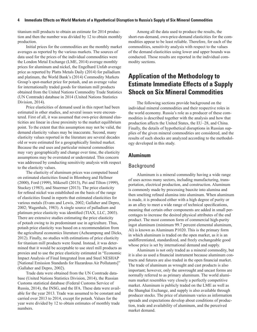#### <span id="page-11-0"></span>**4 Immediate Effects on World Markets of a Hypothetical Disruption to Russia's Supply of Six Mineral Commodities**

titanium mill products to obtain an estimate for 2014 production and then the number was divided by 12 to obtain monthly production.

Initial prices for the commodities are the monthly market averages as reported by the various markets. The sources of data used for the prices of the individual commodities were the London Metal Exchange (LME, 2014) average monthly prices for aluminum and nickel, the Engelhard Unfab average price as reported by Platts Metals Daily (2014) for palladium and platinum, the World Bank's (2014) Commodity Markets Group's spot-market price for potash, and an average value for internationally traded goods for titanium mill products obtained from the United Nations Commodity Trade Statistics (UN Comtrade) database in 2014 (United Nations Statistics Division, 2014).

Price elasticities of demand used in this report had been estimated in other studies, and several issues were encountered. First of all, it was assumed that own-price demand elasticities are linear in close proximity to the market equilibrium point. To the extent that this assumption may not be valid, the demand elasticity values may be inaccurate. Second, many elasticity values reported in the literature are several decades old or were estimated for a geographically limited market. Because the end uses and particular mineral commodities may vary geographically and change over time, the elasticity assumptions may be overstated or understated. This concern was addressed by conducting sensitivity analysis with respect to the elasticity values.

The elasticity of aluminum prices was computed based on estimated elasticities found in Blomberg and Hellmer (2000), Ford (1999), Mikesell (2013), Pei and Tilton (1999), Stuckey (1983), and Stuermer (2013). The price elasticity for refined nickel was established on the basis of the range of elasticities found in reports that estimated elasticities for various metals (Evans and Lewis, 2002; Gallaher and Depro, 2002; Wagenhals, 1983). A single source of palladium and platinum price elasticity was identified (TIAX, LLC, 2003). There are extensive studies estimating the price elasticity of potash owing to its predominant use in agriculture. Thus, potash price elasticity was based on a recommendation from the agricultural economics literature (Acheampong and Dicks, 2012). Finally, no studies with estimations of price elasticity for titanium mill products were found. Instead, it was determined that it would be acceptable to use steel mill products as proxies and to use the price elasticity estimated in "Economic Impact Analysis of Final Integrated Iron and Steel NESHAP [National Emission Standards for Hazardous Air Pollutants]" (Gallaher and Depro, 2002).

Trade data were obtained from the UN Comtrade database (United Nations Statistics Division, 2014), the Russian Customs statistical database (Federal Customs Service of Russia, 2014), the INSG, and the IFA. These data were available for the year 2013. Trade was assumed to be constant and carried over 2013 to 2014, except for potash. Values for the year were divided by 12 to obtain estimates of monthly trade numbers.

Among all the data used to produce the results, the short-run-demand, own-price-demand elasticities for the commodities appear to be least reliable. Therefore, for each of the commodities, sensitivity analysis with respect to the values of the demand elasticities using lower and upper bounds was conducted. Those results are reported in the individual commodity sections.

## **Application of the Methodology to Estimate Immediate Effects of a Supply Shock on Six Mineral Commodities**

The following sections provide background on the individual mineral commodities and their respective roles in the world economy. Russia's role as a producer of these commodities is described together with the analysis and how that production affects the United States, the EU–28, and China. Finally, the details of hypothetical disruptions in Russian supplies of the given mineral commodities are considered, and the results of such shocks are analyzed according to the methodology developed in this study.

#### **Aluminum**

#### Background

Aluminum is a mineral commodity having a wide range of uses across many sectors, including manufacturing, transportation, electrical production, and construction. Aluminum is commonly made by processing bauxite into alumina and then smelting refined alumina into aluminum. When aluminum is made, it is produced either with a high degree of purity or as an alloy to meet a wide range of technical specifications, meaning that certain other components are added in small percentages to increase the desired physical attributes of the end product. The most common form of commercial high-purity ingot aluminum (minimum 99.7 percent elemental aluminum, Al) is known as Aluminum P1020. This is the primary form in which aluminum is traded on the open market, as it is an undifferentiated, standardized, and freely exchangeable good whose price is set by international demand and supply.

Aluminum is not only traded as a mineral commodity, but it is also as used a financial instrument because aluminum contracts and futures are also traded in the open financial market. The trade of aluminum as wrought and cast products is also important; however, only the unwrought and uncast forms are normally referred to as primary aluminum. The world aluminum market resembles very closely a perfectly competitive market. Aluminum is publicly traded on the LME as well as the Shanghai Exchange, and supply is also available through producer stocks. The price of aluminum varies as information spreads and expectations develop about conditions of production, trade and availability of aluminum, and the perceived market demand.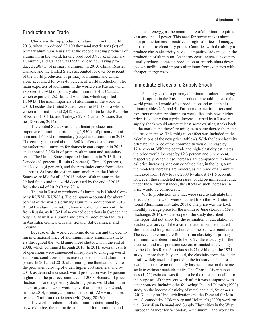<span id="page-12-0"></span>China was the top producer of aluminum in the world in 2013, when it produced 22,100 thousand metric tons (kt) of primary aluminum. Russia was the second leading producer of aluminum in the world, having produced 3,950 kt of primary aluminum, and Canada was the third leading, having produced 2,967 kt of primary aluminum in 2013. China, Russia, Canada, and the United States accounted for over 65 percent of the world production of primary aluminum, and China alone accounted for over 46 percent of world production. The main exporters of aluminum in the world were Russia, which exported 2,209 kt of primary aluminum in 2013; Canada, which exported 1,521 kt; and Australia, which exported 1,169 kt. The main importers of aluminum in the world in 2013, besides the United States, were the EU–28 as a whole, which imported in total 2,412 kt; Japan, 1,466 kt; the Republic of Korea, 1,011 kt; and Turkey, 627 kt (United Nations Statistics Division, 2014).

The United States was a significant producer and importer of aluminum, producing 1,950 kt of primary aluminum and 1,650 kt of secondary (recycled) aluminum in 2013. The country imported about 4,360 kt of crude and semimanufactured aluminum for domestic consumption in 2013 and exported 3,350 kt of primary aluminum and secondary scrap. The United States imported aluminum in 2013 from Canada (61 percent), Russia (7 percent), China (5 percent), and Mexico (4 percent), and the remainder came from other countries. At least three aluminum smelters in the United States were idle for all of 2013; prices of aluminum in the United States and the world decreased by the end of 2013 from the end of 2012 (Bray, 2014).

The main Russian producer of aluminum is United Company RUSAL (RUSAL). The company accounted for about 9 percent of the world's primary aluminum production in 2013. RUSAL's aluminum output, however, did not come entirely from Russia, as RUSAL also owned operations in Sweden and Nigeria, as well as alumina and bauxite production facilities in Australia, Guinea, Guyana, Ireland, Italy, Jamaica, and Ukraine.

Because of the world economic downturn and the declining international price of aluminum, many aluminum smelters throughout the world announced shutdowns in the end of 2008, which continued through 2010. In 2011, several restarts of operations were announced in response to changing world economic conditions and increases in demand and aluminum prices. In 2012 and 2013, aluminum price fluctuations led to the permanent closing of older, higher cost smelters, and by 2013, as demand increased, world production was 19 percent higher than the pre-recession level of 2008. Because of price fluctuations and a generally declining price, world aluminum stocks at yearend 2013 were higher than those in 2012 and, in June 2014, primary aluminum stocks at LME warehouses reached 5 million metric tons (Mt) (Bray, 2015a).

The world production of aluminum is determined by its world price, the international demand for aluminum, and

the cost of energy, as the manufacture of aluminum requires vast amounts of power. This need for power makes aluminum production costs sensitive to regional prices of energy, in particular to electricity prices. Countries with the ability to produce cheap electricity have a competitive advantage in the production of aluminum. As energy costs increase, a country usually reduces domestic production or entirely shuts down its own facilities and imports aluminum from countries with cheaper energy costs.

## Immediate Effects of a Supply Shock

A supply shock to primary aluminum production owing to a disruption in the Russian production would increase the world price and would affect production and trade in aluminum (tables 2, 3, and 4). Furthermore, net importers and exporters of primary aluminum would face this new, higher price. It is likely that a price increase caused by a Russian supply shock would attract at least some existing stocks back to the market and therefore mitigate to some degree the potential price increase. This mitigation effect was included in the calculations of the new price (table 4). With the low-elasticity estimate, the price of the commodity would increase by 17.4 percent. With the central- and high-elasticity estimates, the price would increase by 12.3 percent and 6.6 percent, respectively. When these increases are compared with historical price increases, one can conclude that, in the long term, the modeled increases are modest, as the price of aluminum increased from 1994 to late 2008 by almost 171.6 percent. However, these modeled increases would be immediate, and, under those circumstances, the effects of such increases in price would be considerable.

World production data that were used to calculate this effect as of June 2014 were obtained from the IAI (International Aluminium Institute, 2014). The price was the LME monthly average price for the month of June (London Metal Exchange, 2014). As the scope of the study described in this report did not allow for the estimation or calculation of elasticity, a survey of the available studies with estimated short-run and long-run elasticities in the past was conducted. The acceptable measure for short-run elasticity of primary aluminum was determined to be –0.27, the elasticity for the electrical and transportation sectors estimated in the study by the Charles River Associates (1971). Although the 1971 study is more than 40 years old, the elasticity from the study is still widely used and quoted in the industry as the best available because no other study has been done on the same scale to estimate such elasticity. The Charles River Associates (1971) estimate was found to be the most reasonable for the purposes of the present work after it was compared with other sources, including the following: Pei and Tilton's (1999) study on the income elasticity of metal demand, Stuermer's (2013) study on "Industrialization and the Demand for Mineral Commodities," Blomberg and Hellmer's (2000) work on the "Short-Run Demand and Supply Elasticities in the West European Market for Secondary Aluminium," and works by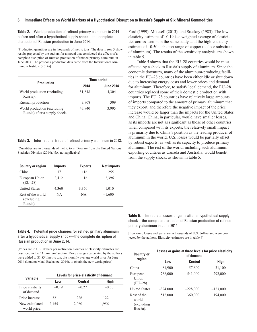**Table 2.** World production of refined primary aluminum in 2014 before and after a hypothetical supply shock—the complete disruption of Russian production in June 2014.

[Production quantities are in thousands of metric tons. The data in row 3 show results projected by the authors for a model that considered the effects of a complete disruption of Russian production of refined primary aluminum in June 2014. The preshock production data came from the International Aluminium Institute (2014)]

| <b>Production</b>                                            | <b>Time period</b> |                  |  |
|--------------------------------------------------------------|--------------------|------------------|--|
|                                                              | 2014               | <b>June 2014</b> |  |
| World production (including<br>Russia).                      | 51,648             | 4,304            |  |
| Russian production                                           | 3,708              | 309              |  |
| World production (excluding<br>Russia) after a supply shock. | 47,940             | 3,995            |  |

#### **Table 3.** International trade of refined primary aluminum in 2013.

[Quantities are in thousands of metric tons. Data are from the United Nations Statistics Division (2014). NA, not applicable]

| <b>Country or region</b>                     | <b>Imports</b> | <b>Exports</b> | <b>Net imports</b> |
|----------------------------------------------|----------------|----------------|--------------------|
| China                                        | 371            | 116            | 255                |
| European Union<br>$(EU-28)$ .                | 2,412          | 16             | 2,396              |
| <b>United States</b>                         | 4,360          | 3,350          | 1,010              |
| Rest of the world<br>(excluding)<br>Russia). | <b>NA</b>      | NА             | $-1,600$           |

**Table 4.** Potential price changes for refined primary aluminum after a hypothetical supply shock—the complete disruption of Russian production in June 2014.

[Prices are in U.S. dollars per metric ton. Sources of elasticity estimates are described in the "Aluminum" section. Price changes calculated by the authors were added to \$1,834/metric ton, the monthly average world price for June 2014 (London Metal Exchange, 2014), to obtain the new world prices]

| Variable                       | Levels for price elasticity of demand |         |         |  |
|--------------------------------|---------------------------------------|---------|---------|--|
|                                | Low                                   | Central | High    |  |
| Price elasticity<br>of demand. | $-0.19$                               | $-0.27$ | $-0.50$ |  |
| Price increase                 | 321                                   | 226     | 122.    |  |
| New calculated<br>world price. | 2,155                                 | 2,060   | 1,956   |  |

Ford (1999), Mikesell (2013), and Stuckey (1983). The lowelasticity estimate of –0.19 is a weighted average of elasticities across sectors in the same study, and the high-elasticity estimate of  $-0.50$  is the top range of copper (a close substitute of aluminum). The results of the sensitivity analysis are shown in table 5.

Table 5 shows that the EU–28 countries would be most affected by a shock to Russia's supply of aluminum. Since the economic downturn, many of the aluminum-producing facilities in the EU–28 countries have been either idle or shut down due to increasing energy costs and lower prices and demand for aluminum. Therefore, to satisfy local demand, the EU–28 countries replaced some of their domestic production with imports. The EU–28 countries have relatively large amounts of imports compared to the amount of primary aluminum that they export, and therefore the negative impact of the price increase would be larger than the impacts for the United States and China. China, in particular, would have smaller losses, as its imports are not as significant as those of other countries when compared with its exports; the relatively small impact is primarily due to China's position as the leading producer of aluminum in the world. U.S. losses would be partially offset by robust exports, as well as its capacity to produce primary aluminum. The rest of the world, including such aluminumexporting countries as Canada and Australia, would benefit from the supply shock, as shown in table 5.

**Table 5.** Immediate losses or gains after a hypothetical supply shock—the complete disruption of Russian production of refined primary aluminum in June 2014.

[Economic losses and gains are in thousands of U.S. dollars and were projected by the authors. Elasticity estimates are in table 4]

| <b>Country or</b>                               | Losses or gains at three levels for price elasticity<br>of demand |            |            |  |
|-------------------------------------------------|-------------------------------------------------------------------|------------|------------|--|
| region                                          | Low                                                               | Central    | High       |  |
| China                                           | $-81,900$                                                         | $-57,600$  | $-31,100$  |  |
| European<br>Union<br>$(EU-28)$ .                | $-768,000$                                                        | $-541,000$ | $-292,000$ |  |
| <b>United States</b>                            | $-324,000$                                                        | $-228,000$ | $-123,000$ |  |
| Rest of the<br>world<br>(excluding)<br>Russia). | 512,000                                                           | 360,000    | 194,000    |  |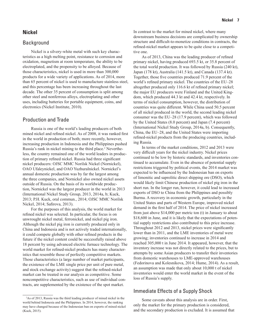#### <span id="page-14-0"></span>**Nickel**

#### **Background**

Nickel is a silvery-white metal with such key characteristics as a high melting point, resistance to corrosion and oxidation, magnetism at room temperature, the ability to be electroplated, and the propensity to be alloyed. Because of those characteristics, nickel is used in more than 300,000 products for a wide variety of applications. As of 2014, more than 65 percent of nickel is used to manufacture stainless steel, and this percentage has been increasing throughout the last decade. The other 35 percent of consumption is split among other steel and nonferrous alloys, electroplating and other uses, including batteries for portable equipment, coins, and electronics (Nickel Institute, 2010).

#### Production and Trade

Russia is one of the world's leading producers of both mined nickel and refined nickel. As of 2008, it was ranked first in the world in production of both; more recently, however, increasing production in Indonesia and the Philippines pushed Russia's rank in nickel mining to the third place.<sup>2</sup> Nevertheless, the country remained one of the world leaders in production of primary refined nickel. Russia had three significant nickel producers: OJSC MMC Norilsk Nickel (Nornickel), OAO Ufaleynickel, and OAO Yuzhuralnickel. Nornickel's annual domestic production was by far the largest among the three companies, and Nornickel also owned nickel assets outside of Russia. On the basis of its worldwide production, Nornickel was the largest producer in the world in 2013 (International Nickel Study Group, 2013, 2014a, b; Kuck, 2013; P.H. Kuck, oral commun., 2014; OJSC MMC Norilsk Nickel, 2014; Safirova, 2013).

For the purposes of this analysis, the world market for refined nickel was selected. In particular, the focus is on unwrought nickel metal, ferronickel, and nickel pig iron. Although the nickel pig iron is currently produced only in China and Indonesia and is not actively traded internationally, it could compete globally with other refined products in the future if the nickel content could be successfully raised above 18 percent by using advanced electric furnace technology. The world market for refined-nickel products has many characteristics that resemble those of perfectly competitive markets. Those characteristics (a large number of market participants, the existence of the LME single price per unit of pure metal, and stock exchange activity) suggest that the refined-nickel market can be treated in our analysis as competitive. Some noncompetitive characteristics, such as use of individual contracts, are supplemented by the existence of the spot market.

In contrast to the market for mined nickel, where many downstream business decisions are complicated by ownership structure and difficult-to-monetize conditions in contracts, the refined-nickel market appears to be quite close to a competitive one.

As of 2013, China was the leading producer of refined primary nickel, having produced 693.5 kt, or 35.8 percent of the total world production. It was followed by Russia (240 kt), Japan (178 kt), Australia (141.5 kt), and Canada (137.4 kt). Together, those five countries produced 71.9 percent of the world's refined primary nickel. The countries of the EU–28 altogether produced only 116.6 kt of refined primary nickel; the major EU producers were Finland and the United Kingdom, which produced 44.3 kt and 42.4 kt, respectively. In terms of nickel consumption, however, the distribution of countries was quite different. While China used 50.5 percent of all nickel produced in the world, the second leading nickel consumer was the EU–28 (17.9 percent), which was followed by the United States (8.0 percent) and Japan (7.4 percent) (International Nickel Study Group, 2014a, b). Consequently, China, the EU–28, and the United States were importing refined-nickel products from the producing countries, including Russia.

In terms of the market conditions, 2012 and 2013 were very difficult years for the nickel industry. Nickel prices continued to be low by historic standards, and inventories continued to accumulate. Even in the absence of potential supply restrictions triggered by political events, the 2014 market was expected to be influenced by the Indonesian ban on exports of limonitic and saprolitic direct shipping ore (DSO), which would likely limit Chinese production of nickel pig iron in the short run. In the longer run, however, it could lead to increased exports of DSO to China from the Philippines and possibly Burma. A recovery in economic growth, particularly in the United States and parts of Western Europe, improved nickel demand in the first half of 2014. The price of nickel increased from just above \$14,000 per metric ton (t) in January to about \$18,600 in June, and it is likely that the expectations of potential supply restrictions also contributed to this price increase. Throughout 2012 and 2013, nickel prices were significantly lower than in 2011, and the LME inventories of metal were growing; inventories continued to increase in 2014 and reached 305,000 t in June 2014. It appeared, however, that the inventory increase was not directly related to the prices, but to attempts by some Asian producers to transfer their inventories from domestic warehouses to LME-approved warehouses (Fedorinova and Kolesnikova, 2014; Hume, 2014). As a result, an assumption was made that only about 10,000 t of nickel inventories would enter the world market in the event of the loss of Russia's supply.

#### Immediate Effects of a Supply Shock

Some caveats about this analysis are in order. First, only the market for the primary production is considered, and the secondary production is excluded. It is assumed that

<sup>2</sup> As of 2013, Russia was the third leading producer of mined nickel in the world behind Indonesia and the Philippines. In 2014, however, the ranking may have changed because of the Indonesian ban on exports of mined nickel (Kuck, 2015).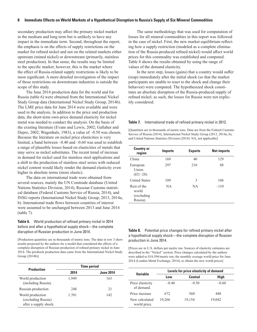#### **8 Immediate Effects on World Markets of a Hypothetical Disruption to Russia's Supply of Six Mineral Commodities**

secondary production may affect the primary nickel market in the medium and long term but is unlikely to have any impact in the immediate term. Second, throughout the report, the emphasis is on the effects of supply restrictions on the market for refined nickel and not on the related markets either upstream (mined nickel) or downstream (primarily, stainless steel production). In that sense, the results may be limited to the specific market; however, this is the market where the effect of Russia-related supply restrictions is likely to be most significant. A more detailed investigation of the impact of those restrictions on downstream industries is outside the scope of this study.

The June 2014 production data for the world and for Russia (table 6) were obtained from the International Nickel Study Group data (International Nickel Study Group, 2014b). The LME price data for June 2014 were available and were used in the analysis. In addition to the price and production data, the short-term own-price demand elasticity for nickel metal was needed to conduct the analysis. On the basis of the existing literature (Evans and Lewis, 2002; Gallaher and Depro, 2002; Wagenhals, 1983), a value of  $-0.50$  was chosen. Because the literature on nickel price elasticities is very limited, a band between  $-0.40$  and  $-0.60$  was used to establish a range of plausible losses based on elasticities of metals that may serve as nickel substitutes. The recent trend of increase in demand for nickel used for stainless steel applications and a shift to the production of stainless steel series with reduced nickel content would likely render the demand elasticity even higher in absolute terms (more elastic).

The data on international trade were obtained from several sources, mainly the UN Comtrade database (United Nations Statistics Division, 2014), Russian Customs statistical database (Federal Customs Service of Russia, 2014), and INSG reports (International Nickel Study Group, 2013, 2014a, b). International trade flows between countries of interest were assumed to be unchanged between 2013 and June 2014 (table 7).

**Table 6.** World production of refined primary nickel in 2014 before and after a hypothetical supply shock—the complete disruption of Russian production in June 2014.

[Production quantities are in thousands of metric tons. The data in row 3 show results projected by the authors for a model that considered the effects of a complete disruption of Russian production of refined primary nickel in June 2014. The preshock production data came from the International Nickel Study Group (2014b)]

| <b>Production</b>                                               | <b>Time period</b> |                  |  |  |
|-----------------------------------------------------------------|--------------------|------------------|--|--|
|                                                                 | 2014               | <b>June 2014</b> |  |  |
| World production<br>(including Russia).                         | 1.949              | 163              |  |  |
| Russian production                                              | 248                | 21               |  |  |
| World production<br>(excluding Russia)<br>after a supply shock. | 1,701              | 142              |  |  |

The same methodology that was used for computation of losses for all mineral commodities in this report was followed in the case of nickel. First, the new market equilibrium reflecting how a supply restriction (modeled as a complete elimination of the Russia-produced refined nickel) would affect world prices for this commodity was established and computed. Table 8 shows the results obtained by using the range of values of the demand elasticity.

In the next step, losses (gains) that a country would suffer (reap) immediately after the initial shock (so that the market participants are unable to react to the shock and change their behavior) were computed. The hypothesized shock constitutes an absolute disruption of the Russia-produced supply of refined nickel; as such, the losses for Russia were not explicitly considered.

#### **Table 7.** International trade of refined primary nickel in 2013.

[Quantities are in thousands of metric tons. Data are from the Federal Customs Service of Russia (2014), International Nickel Study Group (2013, 2014a, b), and United Nations Statistics Division (2014). NA, not applicable]

| <b>Country or</b><br>region                     | <b>Imports</b> | <b>Exports</b> | <b>Net imports</b> |
|-------------------------------------------------|----------------|----------------|--------------------|
| China                                           | 169            | 40             | 129                |
| European<br>Union<br>$(EU-28)$ .                | 297            | 210            | 88                 |
| <b>United States</b>                            | 109            | 3              | 106                |
| Rest of the<br>world<br>(excluding)<br>Russia). | NA.            | <b>NA</b>      | $-110$             |

**Table 8.** Potential price changes for refined primary nickel after a hypothetical supply shock—the complete disruption of Russian production in June 2014.

[Prices are in U.S. dollars per metric ton. Sources of elasticity estimates are described in the "Nickel" section. Price changes calculated by the authors were added to \$18,594/metric ton, the monthly average world price for June 2014 (London Metal Exchange, 2014), to obtain the new world prices]

| Variable                       | Levels for price elasticity of demand |         |         |  |  |
|--------------------------------|---------------------------------------|---------|---------|--|--|
|                                | Low                                   | Central | High    |  |  |
| Price elasticity<br>of demand  | $-0.40$                               | $-0.50$ | $-0.60$ |  |  |
| Price increase                 | 672                                   | 560     | 448     |  |  |
| New calculated<br>world price. | 19.266                                | 19,154  | 19.042  |  |  |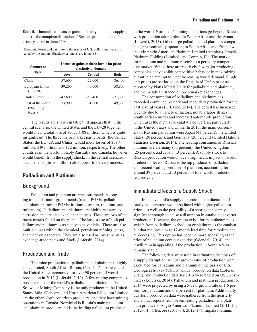<span id="page-16-0"></span>**Table 9.** Immediate losses or gains after a hypothetical supply shock—the complete disruption of Russian production of refined primary nickel in June 2014.

[Economic losses and gains are in thousands of U.S. dollars and were projected by the authors. Elasticity estimates are in table 8]

| <b>Country or</b>                            |           | Losses or gains at three levels for price<br>elasticity of demand |           |
|----------------------------------------------|-----------|-------------------------------------------------------------------|-----------|
| region                                       | Low       | <b>Central</b>                                                    | High      |
| China                                        | $-57,600$ | $-72,000$                                                         | $-86,400$ |
| European Union<br>$(EU-28)$ .                | $-39,200$ | $-49,000$                                                         | $-58,800$ |
| <b>United States</b>                         | $-47,600$ | $-59,400$                                                         | $-71,300$ |
| Rest of the world<br>(excluding)<br>Russia). | 73,900    | 61,600                                                            | 49,300    |

The results are shown in table 9. It appears that, in the central scenario, the United States and the EU*–*28 together would incur a total loss of about \$108 million, which is quite insignificant. The three major market participants (the United States, the EU*–*28, and China) would incur losses of \$59.4 million, \$49 million, and \$72 million, respectively. The other countries in the world, notably Australia and Canada, however, would benefit from the supply shock. In the central scenario, such benefits (\$61.6 million) also appear to be very modest.

### **Palladium and Platinum**

#### Background

Palladium and platinum are precious metals belonging to the platinum-group metals (major PGMs: palladium and platinum; minor PGMs: iridium, osmium, rhodium, and ruthenium). Palladium and platinum are highly resistant to corrosion and are also excellent catalysts. These are two of the rarest metals found on the planet. The largest use of both palladium and platinum is as catalysts in vehicles. There are also multiple uses within the chemical, petroleum refining, glass, and electronics sectors. They are also used as investments as exchange-trade notes and funds (Loferski, 2014).

#### Production and Trade

The mine production of palladium and platinum is highly concentrated; South Africa, Russia, Canada, Zimbabwe, and the United States accounted for over 90 percent of world production in 2012 (Loferski, 2013). A few mining companies produce most of the world's palladium and platinum. The Stillwater Mining Company is the only producer in the United States. Vale, Glencore, and North American Palladium Limited are the other North American producers, and they have mining operations in Canada. Nornickel is Russia's main palladium and platinum producer and is the leading palladium producer

in the world. Nornickel's mining operations go beyond Russia, with production taking place in South Africa and Botswana (Loferski, 2013). Other large palladium and platinum companies, predominantly operating in South Africa and Zimbabwe, include Anglo American Platinum Limited (Amplats), Impala Platinum Holdings Limited, and Lonmin, Plc. The market for palladium and platinum resembles a perfectly competitive market. While there are relatively few major producing companies, they exhibit competitive behavior in maximizing output in an attempt to meet increasing world demand. Single unit prices are set based on the Engelhard Unfab price as reported by Platts Metals Daily for palladium and platinum, and the metals are traded on open market exchanges.

The consumption of palladium and platinum has exceeded combined primary and secondary production for the past several years (O'Byrne, 2014). The deficit has increased recently due to a variety of factors, notably labor strikes in South African mines and increased automobile production, which uses the metals for catalytic converters, particularly in the United States and China. In 2013, the main consumers of Russian palladium were Japan (43 percent), the United States (26 percent), and Germany (20 percent) (United Nations Statistics Division, 2014). The leading consumers of Russian platinum are Germany (53 percent), the United Kingdom (25 percent), and Japan (13 percent). A supply shock to Russian production would have a significant impact on world production levels. Russia is the top producer of palladium and second leading producer of platinum, accounting for around 39 percent and 13 percent of total world production, respectively.

### Immediate Effects of a Supply Shock

In the event of a supply disruption, manufacturers of catalytic converters would be faced with higher palladium prices, as well as the possibility of a shortage in supply significant enough to cause a disruption in catalytic converter production. However, the option exists for manufacturers to switch from palladium to rhodium or platinum as the catalyst, but that requires a 6- to 12-month lead time for retooling and reprocessing. This option has become more appealing as the price of palladium continues to rise (Odendall, 2014), and it will remain appealing if the production in South Africa remains stable.

The following data were used in estimating the costs of a supply disruption. Annual growth rates of production were calculated for palladium and platinum on the basis of U.S. Geological Survey (USGS) annual production data (Loferski, 2013), and production data for 2013 were based on USGS estimates (Loferski, 2014). Palladium and platinum production for 2014 were projected by using a 5-year growth rate of 1.6 percent for palladium and 0.9 percent for platinum. Additionally, quarterly production data were gathered from the quarterly and annual reports from seven leading palladium and platinum producers: Anglo American Platinum Limited (2011–14, 2012–14); Glencore (2011–14, 2012–14); Impala Platinum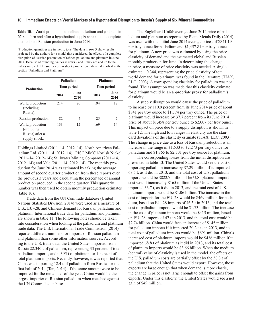**Table 10.** World production of refined palladium and platinum in 2014 before and after a hypothetical supply shock—the complete disruption of Russian production in June 2014.

[Production quantities are in metric tons. The data in row 3 show results projected by the authors for a model that considered the effects of a complete disruption of Russian production of refined palladium and platinum in June 2014. Because of rounding, values in rows 2 and 3 may not add up to the values in row 1. The sources of preshock production data are described in the section "Palladium and Platinum"]

|                                                                     |      | <b>Palladium</b>   | <b>Platinum</b><br><b>Time period</b> |               |  |
|---------------------------------------------------------------------|------|--------------------|---------------------------------------|---------------|--|
| <b>Production</b>                                                   |      | <b>Time period</b> |                                       |               |  |
|                                                                     | 2014 | June<br>2014       | 2014                                  | June<br>2014  |  |
| World production<br>(including)<br>Russia).                         | 214  | 20                 | 194                                   | 17            |  |
| Russian production                                                  | 82   | 7                  | 25                                    | $\mathcal{L}$ |  |
| World production<br>(excluding)<br>Russia) after a<br>supply shock. | 133  | 12                 | 169                                   | 14            |  |

Holdings Limited (2011–14, 2012–14); North American Palladium Ltd. (2011–14, 2012–14); OJSC MMC Norilsk Nickel (2011–14, 2012–14); Stillwater Mining Company (2011–14, 2012–14); and Vale (2011–14, 2012–14). The monthly production for June 2014 was estimated by taking the average amount of second quarter production from these reports over the previous 3 years and calculating the percentage of annual production produced in the second quarter. This quarterly number was then used to obtain monthly production estimates (table 10).

Trade data from the UN Comtrade database (United Nations Statistics Division, 2014) were used as a measure of U.S., EU–28, and Chinese demand for Russian palladium and platinum. International trade data for palladium and platinum are shown in table 11. The following notes should be taken into consideration when looking at the palladium and platinum trade data. The U.S. International Trade Commission (2014) reported different numbers for imports of Russian palladium and platinum than some other information sources. According to the U.S. trade data, the United States imported from Russia 22.340 t of palladium, representing 33 percent of total palladium imports, and 0.395 t of platinum, or 1 percent of total platinum imports. Recently, however, it was reported that China was importing 12.4 t of palladium from Russia for the first half of 2014 (Tan, 2014). If the same amount were to be imported for the remainder of the year, China would be the largest importer of Russian palladium when matched against the UN Comtrade database.

The Englelhard Unfab average June 2014 price of palladium and platinum as reported by Platts Metals Daily (2014) was used with the initial June 2014 average prices of \$841.19 per troy ounce for palladium and \$1,457.81 per troy ounce for platinum. A new price was estimated by using the price elasticity of demand and the estimated global and Russian monthly production for June. In determining the change in price, a measure of price elasticity was needed. A single estimate, –0.344, representing the price elasticity of total world demand for platinum, was found in the literature (TIAX, LLC, 2003). A corresponding elasticity for palladium was not found. The assumption was made that this elasticity estimate for platinum would be an appropriate proxy for palladium's elasticity.

A supply disruption would cause the price of palladium to increase by 110.9 percent from its June 2014 price of about \$841 per troy ounce to \$1,774 per troy ounce. The price of platinum would increase by 37.7 percent from its June 2014 price of about \$1,458 per troy ounce to \$2,007 per troy ounce. This impact on price due to a supply disruption is shown in table 12. The high and low ranges in elasticity are the standard deviations of the elasticity estimate (TIAX, LLC, 2003). The change in price due to a loss of Russian production is an increase in the range of \$1,533 to \$2,273 per troy ounce for palladium and \$1,865 to \$2,301 per troy ounce for platinum.

The corresponding losses from the initial disruption are presented in table 13. The United States would see the cost of importing palladium increase by \$7.29 million if it imported 68.5 t, as it did in 2013, and the total cost of U.S. palladium imports would be \$822.7 million. The U.S. platinum import cost would increase by \$165 million if the United States imported 33.7 t, as it did in 2013, and the total cost of U.S. platinum imports would be \$1.06 billion. The increase in the cost of imports for the EU–28 would be \$469 million for palladium, based on EU–28 imports of 46.5 t in 2013, and the total cost of palladium imports would be \$1.73 billion. The increase in the cost of platinum imports would be \$415 million, based on EU–28 imports of 47 t in 2013, and the total cost would be \$2.74 billion. China would face an increase of \$145 million for palladium imports if it imported 20.2 t as in 2013, and its total cost of palladium imports would be \$691 million. China's increased cost of platinum imports would be \$436 million if it imported 68.8 t of platinum as it did in 2013, and its total cost of platinum imports would be \$3.66 billion. When the medium (central) value of elasticity is used in the model, the effects on the U.S. palladium costs are partially offset by the 38.3 t of palladium that the United States would export. However, those exports are large enough that when demand is more elastic, the change in price is not large enough to offset the gains from exports. Under this elasticity, the United States would see a net gain of \$49 million.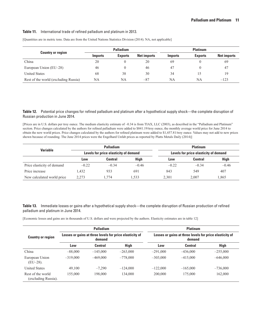#### **Table 11.** International trade of refined palladium and platinum in 2013.

|                                      | <b>Palladium</b> |                |                    | <b>Platinum</b> |                |                    |
|--------------------------------------|------------------|----------------|--------------------|-----------------|----------------|--------------------|
| <b>Country or region</b>             | <i>Imports</i>   | <b>Exports</b> | <b>Net imports</b> | <i>Imports</i>  | <b>Exports</b> | <b>Net imports</b> |
| China                                | 20               | $\Omega$       | 20                 | 69              |                | 69                 |
| European Union (EU–28)               | 46               |                | 46                 | 47              |                | 47                 |
| <b>United States</b>                 | 68               | 38             | 30                 | 34              | $\rightarrow$  | 19                 |
| Rest of the world (excluding Russia) | NA               | NA             | $-87$              | NA              | NA             | $-123$             |

[Quantities are in metric tons. Data are from the United Nations Statistics Division (2014). NA, not applicable]

#### Table 12. Potential price changes for refined palladium and platinum after a hypothetical supply shock—the complete disruption of Russian production in June 2014.

[Prices are in U.S. dollars per troy ounce. The medium elasticity estimate of –0.34 is from TIAX, LLC (2003), as described in the "Palladium and Platinum" section. Price changes calculated by the authors for refined palladium were added to \$841.19/troy ounce, the monthly average world price for June 2014 to obtain the new world prices. Price changes calculated by the authors for refined platinum were added to \$1,457.81/troy ounce. Values may not add to new prices shown because of rounding. The June 2014 prices were the Engelhard Unfab prices as reported by Platts Metals Daily (2014)]

|                            |         | <b>Palladium</b>                      |             | <b>Platinum</b>                       |                |         |
|----------------------------|---------|---------------------------------------|-------------|---------------------------------------|----------------|---------|
| <b>Variable</b>            |         | Levels for price elasticity of demand |             | Levels for price elasticity of demand |                |         |
|                            | Low     | <b>Central</b>                        | <b>High</b> | Low                                   | <b>Central</b> | High    |
| Price elasticity of demand | $-0.22$ | $-0.34$                               | $-0.46$     | $-0.22$                               | $-0.34$        | $-0.46$ |
| Price increase             | 1.432   | 933                                   | 691         | 843                                   | 549            | 407     |
| New calculated world price | 2.273   | 1.774                                 | .533        | 2.301                                 | 2.007          | 1.865   |

**Table 13.** Immediate losses or gains after a hypothetical supply shock—the complete disruption of Russian production of refined palladium and platinum in June 2014.

[Economic losses and gains are in thousands of U.S. dollars and were projected by the authors. Elasticity estimates are in table 12]

|                                          |            | <b>Palladium</b> |             |                                                                                                                    | <b>Platinum</b> |            |  |
|------------------------------------------|------------|------------------|-------------|--------------------------------------------------------------------------------------------------------------------|-----------------|------------|--|
| <b>Country or region</b>                 |            | demand           |             | Losses or gains at three levels for price elasticity of<br>Losses or gains at three levels for price elasticity of |                 | demand     |  |
|                                          | Low        | <b>Central</b>   | <b>High</b> | Low                                                                                                                | <b>Central</b>  | High       |  |
| China                                    | $-88,000$  | $-145,000$       | $-263,000$  | $-291,000$                                                                                                         | $-436,000$      | $-255,000$ |  |
| European Union<br>$(EU-28)$ .            | $-319,000$ | $-469,000$       | $-778,000$  | $-303,000$                                                                                                         | $-415,000$      | $-646,000$ |  |
| <b>United States</b>                     | 49,100     | $-7,290$         | $-124,000$  | $-122,000$                                                                                                         | $-165,000$      | $-736,000$ |  |
| Rest of the world<br>(excluding Russia). | 155,000    | 198,000          | 134,000     | 200,000                                                                                                            | 175,000         | 162,000    |  |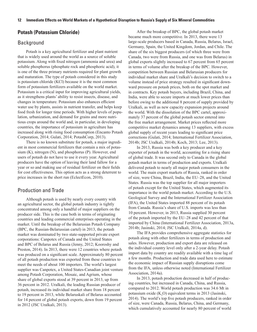#### <span id="page-19-0"></span>**Potash (Potassium Chloride)**

#### Background

Potash is a key agricultural fertilizer and plant nutrient that is widely used around the world as a source of soluble potassium. Along with fixed nitrogen (ammonia and urea) and soluble phosphorus (phosphate rock and phosphoric acid), it is one of the three primary nutrients required for plant growth and maturation. The type of potash considered in this study is potassium chloride (KCl) because it is the most common form of potassium fertilizers available on the world market. Potassium is a critical input for improving agricultural yields, as it strengthens plants' ability to resist insects, disease, and changes in temperature. Potassium also enhances efficient water use by plants, assists in nutrient transfer, and helps keep food fresh for longer time periods. With higher levels of population, urbanization, and demand for grains and more nutritious crops around the world and, in particular, in developing countries, the importance of potassium in agriculture has increased along with rising food consumption (Encanto Potash Corporation, 2014; Gulati, 2014; PotashCorp, 2013).

There is no known substitute for potash, a major ingredient in most commercial fertilizers that contain a mix of potassium (K), nitrogen (N), and phosphorus (P). However, end users of potash do not have to use it every year. Agricultural producers have the option of leaving their land fallow for a year or so and making use of residual fertilizer on their fields for cost effectiveness. This option acts as a strong deterrent to price increases in the short run (EclectEcon, 2010).

## Production and Trade

Although potash is used by nearly every country with an agricultural sector, the global potash industry is tightly concentrated among only a handful of major suppliers on the producer side. This is the case both in terms of originating countries and leading commercial enterprises operating in the market. Until the breakup of the Belarusian Potash Company (BPC, the Russian-Belarussian cartel) in 2013, the potash market was dominated by two state-supported private export corporations: Canpotex of Canada and the United States and BPC of Belarus and Russia (Jenny, 2012; Kooroshy and Preston, 2014). In 2013, there were 12 countries where potash was produced on a significant scale. Approximately 80 percent of all potash production was exported from these countries to meet the needs of about 100 importers. The world's largest supplier was Canpotex, a United States-Canadian joint venture among Potash Corporation, Mosaic, and Agrium, whose share of global exports stood at 39 percent in 2013, up from 36 percent in 2012. Uralkali, the leading Russian producer of potash, increased its individual market share from 18 percent to 19 percent in 2013, while Belaruskali of Belarus accounted for 14 percent of global potash exports, down from 19 percent in 2012 (JSC Uralkali, 2013).

After the breakup of BPC, the global potash market became much more competitive. In 2013, there were 13 large-scale producers based in Canada, Russia, Belarus, Israel, Germany, Spain, the United Kingdom, Jordan, and Chile. The share of the six biggest producers (of which three were from Canada, two were from Russia, and one was from Belarus) in global exports slightly increased to 67 percent from 65 percent in terms of volume after the breakup of the BPC. However, competition between Russian and Belarusian producers for individual market share and Uralkali's decision to switch to a volume instead of price strategy resulted in significant downward pressure on potash prices, both on the spot market and in contracts. Key potash buyers, including Brazil, China, and India, were able to secure imports at much lower prices than before owing to the additional 8 percent of supply provided by Uralkali, as well as new capacity expansion projects around the world. With the dissolution of the BPC cartel, approximately 37 percent of the global potash sector entered into the free market arrangement. Market prices reflected more competitive market dynamics among 13 suppliers, with excess global supply of recent years leading to significant price corrections (Gulati, 2014; International Fertilizer Association, 2014b; JSC Uralkali, 2014b; Koch, 2013; Lee, 2013).

In 2013, Russia was both a key producer and a key exporter of potash in the world, accounting for a rising share of global trade. It was second only to Canada in the global potash market in terms of production and exports. Uralkali delivered potash to nearly all major potash consumers in the world. The main export markets of Russia, ranked in order of size, were China, Brazil, India, the EU–28, and the United States. Russia was the top supplier for all major importers of potash except for the United States, which augmented its importance in the world potash market. According to the U.S. Geological Survey and the International Fertilizer Association (IFA), the United States imported 88 percent of its potash from Canada. Russia's share of U.S. imports was less than 10 percent. However, in 2013, Russia supplied 30 percent of the potash imported by the EU–28 and 42 percent of that imported by China (International Fertilizer Association, 2013a, 2014b; Jasinski, 2014; JSC Uralkali, 2014a, d).

The IFA provides comprehensive aggregate statistics for potash along with other fertilizers in terms of production and sales. However, production and export data are released on the individual country level only after a 2-year delay. Potash import data by country are readily available with a time lag of a few months. Production and trade data used here to estimate the economic impact of Russian supply disruptions come from the IFA, unless otherwise noted (International Fertilizer Association, 2014a).

In 2013, potash production decreased in half of producing countries, but increased in Canada, China, and Russia, compared to 2012. World potash production was 34.6 Mt in potassium oxide  $(K_2O)$  equivalent terms in 2013 (Jasinski, 2014). The world's top five potash producers, ranked in order of size, were Canada, Russia, Belarus, China, and Germany, which cumulatively accounted for nearly 80 percent of world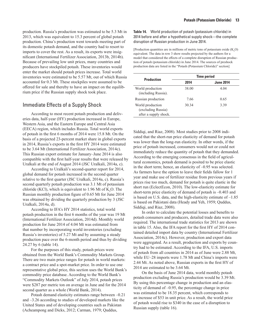<span id="page-20-0"></span>production. Russia's production was estimated to be 5.3 Mt in 2013, which was equivalent to 15.3 percent of global potash production. China's production went towards meeting part of its domestic potash demand, and the country had to resort to imports to cover the rest. As a result, its exports were insignificant (International Fertilizer Association, 2013b, 2014b). Because of prevailing low unit prices, many countries and producers have stockpiled potash. These inventories would enter the market should potash prices increase. Total world inventories were estimated to be 5.57 Mt, out of which Russia accounted for 0.3 Mt. These stockpiles were assumed to be offered for sale and thereby to have an impact on the equilibrium price if the Russian supply shock took place.

## Immediate Effects of a Supply Shock

According to most recent potash production and deliveries data, half-year (HY) production increased in Europe, Western Asia, and the Eastern Europe and Central Asia (EECA) region, which includes Russia. Total world exports of potash in the first 6 months of 2014 were 15.8 Mt. On the basis of a projected 23-percent market share in global exports in 2014, Russia's exports in the first HY 2014 were estimated to be 3.64 Mt (International Fertilizer Association, 2014c). This Russian export estimate for January–June 2014 is also compatible with the first half-year results that were released by Uralkali at the end of August 2014 (JSC Uralkali, 2014a, c).

According to Uralkali's second-quarter report for 2014, global demand for potash increased in the second quarter relative to the first quarter (JSC Uralkali, 2014a, c). Russia's second quarterly potash production was 3.1 Mt of potassium chloride (KCl), which is equivalent to 1.96 Mt of  $K_2O$ . The Russian monthly production figure of 0.65 Mt for June 2014 was obtained by dividing the quarterly production by 3 (JSC Uralkali, 2014a, d).

According to IFA's HY 2014 statistics, total world potash production in the first 6 months of the year was 19 Mt (International Fertilizer Association, 2014d). Monthly world production for June 2014 of 4.04 Mt was estimated from that number by incorporating world inventories (excluding Russia's inventories) of 5.27 Mt and by assuming a steady production pace over the 6-month period and thus by dividing 24.27 by 6 (table 14).

For the purposes of this study, potash prices were obtained from the World Bank's Commodity Markets Group. There are two main price ranges for potash in world markets: a contract price and a spot-market price. In order to use one representative global price, this section uses the World Bank's commodity price database. According to the World Bank's "Commodity Markets Outlook" of July 2014, potash prices were \$287 per metric ton on average in June and for the 2014 second quarter as a whole (World Bank, 2014).

Potash demand elasticity estimates range between –0.21 and –3.26 according to studies of developed markets like the United States and of developing countries such as Pakistan (Acheampong and Dicks, 2012; Carman, 1979; Quddus,

**Table 14.** World production of potash (potassium chloride) in 2014 before and after a hypothetical supply shock—the complete disruption of Russian production in June 2014.

[Production quantities are in millions of metric tons of potassium oxide  $(K_2O)$ equivalent. The data in row 3 show results projected by the authors for a model that considered the effects of a complete disruption of Russian production of potash (potassium chloride) in June 2014. The sources of preshock production data are listed in the "Potash (Potassium Chloride)" section]

| <b>Production</b>                                               | <b>Time period</b> |                  |  |
|-----------------------------------------------------------------|--------------------|------------------|--|
|                                                                 | 2014               | <b>June 2014</b> |  |
| World production<br>(including Russia).                         | 38.00              | 4.04             |  |
| Russian production                                              | 7.66               | 0.65             |  |
| World production<br>(excluding Russia)<br>after a supply shock. | 30.34              | 3.39             |  |

Siddiqi, and Riaz, 2008). Most studies prior to 2008 indicated that the short-run price elasticity of demand for potash was lower than the long-run elasticity. In other words, if the price of potash increased, consumers would not or could not immediately reduce the quantity of potash that they demanded. According to the emerging consensus in the field of agricultural economics, potash demand is posited to be price elastic in the short term; hence, an elasticity of –0.95 was selected. As farmers have the option to leave their fields fallow for 1 year and make use of fertilizer residue from previous years if prices rise too much, demand for potash is quite elastic in the short run (EclectEcon, 2010). The low-elasticity estimate for short-term price elasticity of demand of potash is –0.403 and is based on U.S. data, and the high-elasticity estimate of –1.85 is based on Pakistani data (Heady and Yeh, 1959; Quddus, Siddiqi, and Riaz, 2008).

In order to calculate the potential losses and benefits to potash consumers and producers, detailed trade data were also required. The international trade statistics for 2013 are shown in table 15. Also, the IFA report for the first HY of 2014 contained detailed import data by country (International Fertilizer Association, 2014c). However, production and export data were aggregated. As a result, production and exports by country had to be estimated. According to the IFA, U.S. imports of potash from all countries in 2014 as of June were 2.88 Mt, while EU–28 imports were 1.78 Mt and China's imports were 2.44 Mt. As noted above, Russian exports in the first HY of 2014 are estimated to be 3.64 Mt.

On the basis of June 2014 data, world monthly potash production excluding Russia's production would be 3.39 Mt. By using this percentage change in production and an elasticity of demand of –0.95, the percentage change in price was estimated to be 18.35 percent, which corresponds to an increase of \$53 in unit price. As a result, the world price of potash would rise to \$340 in the case of a disruption to Russian supply (table 16).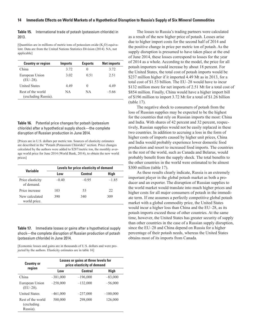<span id="page-21-0"></span>**Table 15.** International trade of potash (potassium chloride) in 2013.

[Quantities are in millions of metric tons of potassium oxide  $(K_2O)$  equivalent. Data are from the United Nations Statistics Division (2014). NA, not applicable]

| <b>Country or region</b>                 | <b>Imports</b> | <b>Exports</b> | <b>Net imports</b> |
|------------------------------------------|----------------|----------------|--------------------|
| China                                    | 3.72           |                | 3.72               |
| European Union<br>$(EU-28)$ .            | 3.02           | 0.51           | 2.51               |
| <b>United States</b>                     | 4.49           |                | 4.49               |
| Rest of the world<br>(excluding Russia). | NА             | NΑ             | $-5.66$            |

**Table 16.** Potential price changes for potash (potassium chloride) after a hypothetical supply shock—the complete disruption of Russian production in June 2014.

[Prices are in U.S. dollars per metric ton. Sources of elasticity estimates are described in the "Potash (Potassium Chloride)" section. Price changes calculated by the authors were added to \$287/metric ton, the monthly average world price for June 2014 (World Bank, 2014), to obtain the new world prices]

|                                | Levels for price elasticity of demand |                |         |  |  |
|--------------------------------|---------------------------------------|----------------|---------|--|--|
| <b>Variable</b>                | Low                                   | <b>Central</b> | High    |  |  |
| Price elasticity<br>of demand. | $-0.40$                               | $-0.95$        | $-1.85$ |  |  |
| Price increase                 | 103                                   | 53             | 22      |  |  |
| New calculated<br>world price. | 390                                   | 340            | 309     |  |  |

**Table 17.** Immediate losses or gains after a hypothetical supply shock—the complete disruption of Russian production of potash (potassium chloride) in June 2014.

[Economic losses and gains are in thousands of U.S. dollars and were projected by the authors. Elasticity estimates are in table 16]

| <b>Country or</b>                            | Losses or gains at three levels for<br>price elasticity of demand |                |            |  |  |  |
|----------------------------------------------|-------------------------------------------------------------------|----------------|------------|--|--|--|
| region                                       | Low                                                               | <b>Central</b> | High       |  |  |  |
| China                                        | $-381,000$                                                        | $-196,000$     | $-83,000$  |  |  |  |
| European Union<br>$(EU-28)$ .                | $-258,000$                                                        | $-132,000$     | $-56,000$  |  |  |  |
| <b>United States</b>                         | $-461,000$                                                        | $-237,000$     | $-100,000$ |  |  |  |
| Rest of the world<br>(excluding)<br>Russia). | 580,000                                                           | 298,000        | 126,000    |  |  |  |

The losses to Russia's trading partners were calculated as a result of the new higher price of potash. Losses arise due to higher import costs for the second half of 2014 and the positive change in price per metric ton of potash. As the supply disruption is presumed to have taken place at the end of June 2014, these losses correspond to losses for the year of 2014 as a whole. According to the model, the price for all potash importers would increase by about 18 percent. For the United States, the total cost of potash imports would be \$237 million higher if it imported 4.49 Mt as in 2013, for a total cost of \$1.53 billion. The EU–28 would have to incur \$132 million more for net imports of 2.51 Mt for a total cost of \$854 million. Finally, China would have a higher import bill of \$196 million to import 3.72 Mt for a total of \$1.26 billion (table 17).

The negative shock to consumers of potash from the loss of Russian supplies may be expected to be the highest for the countries that rely on Russian imports the most: China and India. With shares of 42 percent and 32 percent, respectively, Russian supplies would not be easily replaced in these two countries. In addition to accruing a loss in the form of higher costs of imports caused by higher unit prices, China and India would probably experience lower domestic food production and resort to increased food imports. The countries in the rest of the world, such as Canada and Belarus, would probably benefit from the supply shock. The total benefits to the other countries in the world were estimated to be almost \$300 million (table 17).

As these results clearly indicate, Russia is an extremely important player in the global potash market as both a producer and an exporter. The disruption of Russian supplies to the world market would translate into much higher prices and higher costs for all major consumers of potash in the immediate term. If one assumes a perfectly competitive global potash market with a global commodity price, the United States would incur a higher loss than China and the EU–28, as its potash imports exceed those of other countries. At the same time, however, the United States has greater security of supply than other countries in the case of a Russian supply disruption, since the EU–28 and China depend on Russia for a higher percentage of their potash needs, whereas the United States obtains most of its imports from Canada.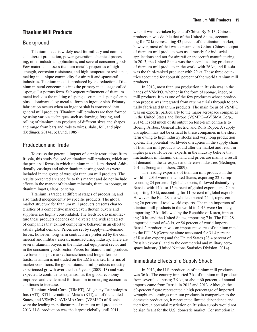#### <span id="page-22-0"></span>**Titanium Mill Products**

#### **Background**

Titanium metal is widely used for military and commercial aircraft production, power generation, chemical processing, other industrial applications, and several consumer goods. Few materials possess titanium metal's properties of high strength, corrosion resistance, and high-temperature resistance, making it a unique commodity for aircraft and spacecraft industries. Titanium metal is produced by the reduction of titanium mineral concentrates into the primary metal stage called "sponge," a porous form. Subsequent refinement of titanium metal includes the melting of sponge, scrap, and sponge/scrap plus a dominant alloy metal to form an ingot or slab. Primary fabrication occurs when an ingot or slab is converted into general mill products. Titanium mill products are then formed by using various techniques such as drawing, forging, and rolling of titanium into products of different sizes and shapes and range from bars and rods to wires, slabs, foil, and pipe (Bedinger, 2014a, b; Lynd, 1985).

### Production and Trade

To assess the potential impact of supply restrictions from Russia, this study focused on titanium mill products, which are the principal forms in which titanium metal is marketed. Additionally, castings and other titanium casting products were included in the group of wrought titanium mill products. The results presented are specific to this market and do not include effects in the market of titanium minerals, titanium sponge, or titanium ingots, slabs, or scrap.

Titanium is traded at different stages of processing and also traded independently by specific products. The global market structure for titanium mill products presents characteristics of a competitive market, even though buyers and suppliers are highly consolidated. The feedstock to manufacture these products depends on a diverse and widespread set of companies that exhibit competitive behavior in an effort to satisfy global demand. Prices are set by supply-and-demand forces; however, long-term contracts are preferred by the commercial and military aircraft manufacturing industry. There are several titanium buyers in the industrial equipment sector and in the consumer goods sector. Prices for titanium mill products are based on spot-market transactions and longer term contracts. Titanium is not traded on the LME market. In terms of market conditions, the global titanium mill products industry experienced growth over the last 5 years (2009–13) and was expected to continue its expansion as the global economy improves and the demand for titanium in emerging economies continues to increase.

Titanium Metal Corp. (TIMET), Allegheny Technologies Inc. (ATI), RTI International Metals (RTI), all of the United States, and VSMPO–AVISMA Corp. (VSMPO) of Russia were the leading manufacturers of titanium mill products in 2013. U.S. production was the largest globally until 2011,

when it was overtaken by that of China. By 2013, Chinese production was double that of the United States, accounting for 72 kt representing 43 percent of the titanium market; however, most of that was consumed in China. Chinese output of titanium mill products was used mostly for industrial applications and not for aircraft or spacecraft manufacturing. In 2013, the United States was the second leading producer of titanium mill products in the world with 36 kt, and Russia was the third-ranked producer with 29 kt. These three countries accounted for about 80 percent of the world titanium mill products.

In 2013, most titanium production in Russia was in the hands of VSMPO, whether in the form of sponge, ingot, or mill products. It was one of the few producers whose production process was integrated from raw materials through to partially fabricated titanium products. The main focus of VSMPO was on exports, particularly to the major aerospace companies in the United States and Europe (VSMPO–AVISMA Corp., 2014). It sold much of its output on long-term contracts to Boeing, Airbus, General Electric, and Rolls Royce. A supply disruption may not be critical to these companies in the short term owing to high industry stocks and very long production cycles. The potential worldwide disruption in the supply chain of titanium mill products would alter the market and result in higher prices. However, experts in the industry believe that fluctuations in titanium demand and prices are mainly a result of demand in the aerospace and defense industries (Bedinger, 2014a; Seong and others, 2009).

The leading exporters of titanium mill products in the world in 2013 were the United States, exporting 22 kt, representing 24 percent of global exports, followed distantly by Russia, with 14 kt or 15 percent of global exports, and China, exporting 10 kt, accounting for 11 percent of global exports. However, the EU–28 as a whole exported 24 kt, representing 26 percent of total world exports. The main importers of titanium mill products in the world in 2013 were Germany, importing 12 kt, followed by the Republic of Korea, importing 10 kt, and the United States, importing 7 kt. The EU–28 imported a total of 43 kt, or 54 percent of world imports. Russia's production was an important source of titanium metal to the EU–38 (Germany alone accounted for 31.4 percent of Russian exports) and the United States (28.4 percent of Russian exports), and to the commercial and military aerospace industry (United Nations Statistics Division, 2014).

## Immediate Effects of a Supply Shock

In 2013, the U.S. production of titanium mill products was 36 kt. The country imported 7 kt of titanium mill products from several countries; 3.9 kt, or about 60 percent, of annual imports came from Russia in 2012 and 2013. Although the 60-percent figure represented a high percentage of imported wrought and castings titanium products in comparison to the domestic production, it represented limited dependence and, therefore, a potential restriction on Russian supply would not be significant for the U.S. domestic market. Consumption in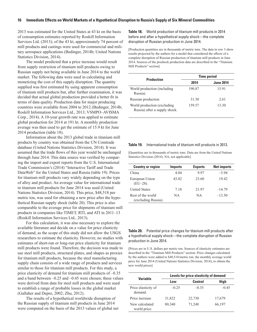2013 was estimated for the United States at 43 kt on the basis of consumption estimates reported by Roskill Information Services Ltd. (2013); of the 43 kt, approximately 74 percent of mill products and castings were used for commercial and military aerospace applications (Bedinger, 2014b; United Nations Statistics Division, 2014).

The model predicted that a price increase would result from supply restriction of titanium mill products owing to Russian supply not being available in June 2014 to the world market. The following data were used in calculating and monetizing the cost of this supply disruption. The quantity supplied was first estimated by using apparent consumption of titanium mill products but, after further examination, it was decided that actual global production provided a better fit in terms of data quality. Production data for major producing countries were available from 2004 to 2012 (Bedinger, 2014b; Roskill Information Services Ltd., 2013; VSMPO–AVISMA Corp., 2014). A 10-year growth rate was applied to estimate global production for 2014 at 191 kt. A monthly production average was then used to get the estimate of 15.9 kt for June 2014 production (table 18).

Information about the 2013 global trade in titanium mill products by country was obtained from the UN Comtrade database (United Nations Statistics Division, 2014). It was assumed that the trade flows of this year would be unchanged through June 2014. This data source was verified by comparing the import and export reports from the U.S. International Trade Commission's (2014) "Interactive Tariff and Trade DataWeb" for the United States and Russia (table 19). Prices for titanium mill products vary widely depending on the type of alloy and product. An average value for international trade in titanium mill products for June 2014 was used (United Nations Statistics Division, 2014). This price, \$48,518 per metric ton, was used for obtaining a new price after the hypothetical Russian supply shock (table 20). This price is also comparable to the average price for shipments of titanium mill products in companies like TIMET, RTI, and ATI in 2011–13 (Roskill Information Services Ltd., 2013).

For this calculation, it was also necessary to explore the available literature and decide on a value for price elasticity of demand, as the scope of this study did not allow the USGS researchers to estimate the elasticity. However, no studies with estimates of short-run or long-run price elasticity for titanium mill products were found. Therefore, the decision was made to use steel mill products, structural plates, and shapes as proxies for titanium mill products, because the steel manufacturing supply chain consists of a wide range of products and services similar to those for titanium mill products. For this study, a price elasticity of demand for titanium mill products of –0.35 and a band between –0.25 and –0.45 were chosen; these values were derived from data for steel mill products and were used to establish a range of probable losses in the global market (Gallaher and Depro, 2002; Zhu, 2012).

The results of a hypothetical worldwide disruption of the Russian supply of titanium mill products in June 2014 were computed on the basis of the 2013 values of global net **Table 18.** World production of titanium mill products in 2014 before and after a hypothetical supply shock—the complete disruption of Russian production in June 2014.

[Production quantities are in thousands of metric tons. The data in row 3 show results projected by the authors for a model that considered the effects of a complete disruption of Russian production of titanium mill products in June 2014. Sources of the preshock production data are described in the "Titanium Mill Products" section]

|                                                               | <b>Time period</b> |                  |  |
|---------------------------------------------------------------|--------------------|------------------|--|
| <b>Production</b>                                             | 2014               | <b>June 2014</b> |  |
| World production (including<br>Russia).                       | 190.87             | 15.91            |  |
| Russian production                                            | 31.30              | 2.61             |  |
| World production (excluding)<br>Russia) after a supply shock. | 159.57             | 13.30            |  |

#### **Table 19.** International trade of titanium mill products in 2013.

[Quantities are in thousands of metric tons. Data are from the United Nations Statistics Division (2014). NA, not applicable]

| <b>Country or region</b>                 | <b>Imports</b> | <b>Exports</b> | <b>Net imports</b> |
|------------------------------------------|----------------|----------------|--------------------|
| China                                    | 4.04           | 9.97           | $-5.94$            |
| European Union<br>$(EU-28)$ .            | 43.02          | 23.60          | 19.42              |
| <b>United States</b>                     | 7.18           | 21.97          | $-14.79$           |
| Rest of the world<br>(excluding Russia). | NA.            | <b>NA</b>      | $-13.50$           |

**Table 20.** Potential price changes for titanium mill products after a hypothetical supply shock—the complete disruption of Russian production in June 2014.

[Prices are in U.S. dollars per metric ton. Sources of elasticity estimates are described in the "Titanium Mill Products" section. Price changes calculated by the authors were added to \$48,518/metric ton, the monthly average world price for June 2014 (United Nations Statistics Division, 2014), to obtain the new world prices]

| Variable                       | Levels for price elasticity of demand |                |         |  |
|--------------------------------|---------------------------------------|----------------|---------|--|
|                                | Low                                   | <b>Central</b> | High    |  |
| Price elasticity of<br>demand. | $-0.25$                               | $-0.35$        | $-0.45$ |  |
| Price increase                 | 31,822                                | 22,730         | 17,679  |  |
| New calculated<br>world price. | 80,340                                | 71,248         | 66,197  |  |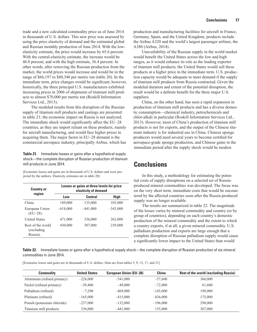<span id="page-24-0"></span>trade and a new calculated commodity price as of June 2014 in thousands of U.S. dollars. This new price was assessed by using the price elasticity of demand and the estimated global and Russian monthly production of June 2014. With the lowelasticity estimate, the price would increase by 65.6 percent. With the central-elasticity estimate, the increase would be 46.8 percent, and with the high estimate, 36.4 percent. In other words, after removing the Russian production from the market, the world prices would increase and would be in the range of \$66,197 to \$80,340 per metric ton (table 20). In the immediate term, price changes would be significant; however, historically, the three principal U.S. manufacturers exhibited increasing prices in 2006 of shipments of titanium mill products to almost \$70,000 per metric ton (Roskill Information Services Ltd., 2013).

The modeled results from this disruption of the Russian supply of titanium mill products and castings are presented in table 21; the economic impact on Russia is not analyzed. The immediate shock would significantly affect the EU–28 countries, as they are import reliant on these products, mainly for aircraft manufacturing, and would face higher prices in acquiring them. The major factor in EU–28 demand is the commercial aerospace industry, principally Airbus, which has

**Table 21.** Immediate losses or gains after a hypothetical supply shock—the complete disruption of Russian production of titanium mill products in June 2014.

[Economic losses and gains are in thousands of U.S. dollars and were projected by the authors. Elasticity estimates are in table 20]

| <b>Country or</b><br>region                  | Losses or gains at three levels for price<br>elasticity of demand |                |            |  |
|----------------------------------------------|-------------------------------------------------------------------|----------------|------------|--|
|                                              | Low                                                               | <b>Central</b> | High       |  |
| China                                        | 189,000                                                           | 135,000        | 105,000    |  |
| European Union<br>$(EU-28)$ .                | $-618,000$                                                        | $-441,000$     | $-343,000$ |  |
| <b>United States</b>                         | 471,000                                                           | 336,000        | 262,000    |  |
| Rest of the world<br>(excluding)<br>Russia). | 430,000                                                           | 307,000        | 239,000    |  |

production and manufacturing facilities for aircraft in France, Germany, Spain, and the United Kingdom; products include the Airbus A320 and the world's largest passenger airliner, the A380 (Airbus, 2014).

Unavailability of the Russian supply in the world market would benefit the United States across the low and high ranges, as it would enhance its role as the leading exporter of titanium mill products; the United States would sell these products at a higher price in the immediate term. U.S. production capacity would be adequate to meet demand if the supply of titanium mill products from Russia contracted. Given the modeled duration and extent of the potential disruption, the result would be a definite benefit for the three major U.S. suppliers.

China, on the other hand, has seen a rapid expansion in production of titanium mill products and has a diverse domestic consumption—chemical industry, petrochemicals and chlor-alkali in particular (Roskill Information Services Ltd., 2013). However, most of China's production of titanium mill products is not for exports, and the output of the Chinese titanium industry is for industrial use in China. Chinese sponge producers would need several years to become certified for aerospace-grade sponge production, and Chinese gains in the immediate period after the supply shock would be modest.

## **Conclusions**

In this study, a methodology for estimating the potential costs of supply disruptions on a selected set of Russiaproduced mineral commodities was developed. The focus was on the very short term, immediate costs that would be encountered by the affected countries soon after the Russia-produced supply was no longer available.

The results are summarized in table 22. The magnitude of the losses varies by mineral commodity and country (or by group of countries), depending on each country's domestic production of the mineral commodity and the extent to which a country exports, if at all, a given mineral commodity. U.S. palladium production and exports are large enough that a complete disruption of Russian palladium supply would cause a significantly lower impact to the United States than would

**Table 22.** Immediate losses or gains after a hypothetical supply shock—the complete disruption of Russian production of six mineral commodities in June 2014.

[Economic losses and gains are in thousands of U.S. dollars. Data are from tables 5, 9, 13, 17, and 21]

| <b>Commodity</b>            | <b>United States</b> | <b>European Union (EU-28)</b> | <b>China</b> | <b>Rest of the world (excluding Russia)</b> |
|-----------------------------|----------------------|-------------------------------|--------------|---------------------------------------------|
| Aluminum (refined primary)  | $-228,000$           | $-541,000$                    | $-57,600$    | 360,000                                     |
| Nickel (refined primary)    | $-59,400$            | $-49,000$                     | $-72,000$    | 61,600                                      |
| Palladium (refined)         | $-7,290$             | $-469,000$                    | $-145,000$   | 198,000                                     |
| Platinum (refined)          | $-165,000$           | $-415,000$                    | $-436,000$   | 175,000                                     |
| Potash (potassium chloride) | $-237,000$           | $-132,000$                    | $-196,000$   | 298,000                                     |
| Titanium mill products      | 336,000              | $-441,000$                    | 135,000      | 307,000                                     |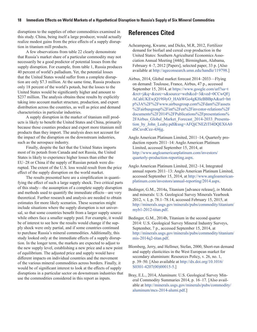<span id="page-25-0"></span>disruptions to the supplies of other commodities examined in this study. China, being itself a large producer, would actually realize modest gains from the price effects of a supply disruption in titanium mill products.

A few observations from table 22 clearly demonstrate that Russia's market share of a particular commodity may not necessarily be a good predictor of potential losses from the supply disruption. For example, from table 1, Russia produces 40 percent of world's palladium. Yet, the potential losses that the United States would suffer from a complete disruption are only \$7.3 million. At the same time, Russia produces only 18 percent of the world's potash, but the losses to the United States would be significantly higher and amount to \$237 million. The analysis obtains these results by explicitly taking into account market structure, production, and export distribution across the countries, as well as price and demand characteristics in particular industries.

A supply disruption in the market of titanium mill products is likely to benefit the United States and China, primarily because those counties produce and export more titanium mill products than they import. The analysis does not account for the impact of the disruption on the downstream industries, such as the aerospace industry.

Finally, despite the fact that the United States imports most of its potash from Canada and not Russia, the United States is likely to experience higher losses than either the EU–28 or China if the supply of Russian potash were disrupted. The extent of the U.S. loss would result from the price effect of the supply disruption on the world market.

The results presented here are a simplification in quantifying the effect of such a large supply shock. Two critical parts of this study—the assumption of a complete supply disruption and methods used to quantify the immediate effects—are very theoretical. Further research and analysis are needed to obtain estimates for more likely scenarios. These scenarios might include situations where the supply disruption is not universal, so that some countries benefit from a larger supply source while others face a smaller supply pool. For example, it would be of interest to see how the results would change if the supply shock were only partial, and if some countries continued to purchase Russia's mineral commodities. Additionally, this study looked only at the immediate effects of a supply disruption. In the longer term, the markets are expected to adjust to the new supply level, establishing a new price and a new point of equilibrium. The adjusted price and supply would have different impacts on individual countries and the movement of the various mineral commodities across borders. Finally, it would be of significant interest to look at the effects of supply disruptions in a particular sector on downstream industries that use the commodities considered in this report as inputs.

## **References Cited**

- Acheampong, Kwame, and Dicks, M.R, 2012, Fertilizer demand for biofuel and cereal crop production in the United States: Southern Agricultural Economics Association Annual Meeting [44th], Birmingham, Alabama, February 4–7, 2012 [Papers], selected paper, 33 p. [Also available at<http://ageconsearch.umn.edu/handle/119798>.]
- Airbus, 2014, Global market forecast 2014–2033—Flying on demand: Toulouse, France, Airbus, 47 p., accessed September 15, 2014, at [https://www.google.com/url?sa=t](https://www.google.com/url?sa=t&rct=j&q=&esrc=s&source=web&cd=3&ved=0CCwQFjACahUKEwjQ19f4yO_HAhWGo4gKHeBBBpA&url=http%3A%2F%2Fwww.airbusgroup.com%2Fdam%2Fassets%2Fairbusgroup%2Fint%2Fen%2Finvestor-relations%2Fdocuments%2F2014%2FPublications%2Fpresentations%2FAirbus_Global_Market_Forecast_2014-2033_Presentation_by_John_Leahy.pdf&usg=AFQjCNEZtTl4DQEX6A0dSCuvdCez-4J4jg) [&rct=j&q=&esrc=s&source=web&cd=3&ved=0CCwQFj](https://www.google.com/url?sa=t&rct=j&q=&esrc=s&source=web&cd=3&ved=0CCwQFjACahUKEwjQ19f4yO_HAhWGo4gKHeBBBpA&url=http%3A%2F%2Fwww.airbusgroup.com%2Fdam%2Fassets%2Fairbusgroup%2Fint%2Fen%2Finvestor-relations%2Fdocuments%2F2014%2FPublications%2Fpresentations%2FAirbus_Global_Market_Forecast_2014-2033_Presentation_by_John_Leahy.pdf&usg=AFQjCNEZtTl4DQEX6A0dSCuvdCez-4J4jg) [ACahUKEwjQ19f4yO\\_HAhWGo4gKHeBBBpA&url=htt](https://www.google.com/url?sa=t&rct=j&q=&esrc=s&source=web&cd=3&ved=0CCwQFjACahUKEwjQ19f4yO_HAhWGo4gKHeBBBpA&url=http%3A%2F%2Fwww.airbusgroup.com%2Fdam%2Fassets%2Fairbusgroup%2Fint%2Fen%2Finvestor-relations%2Fdocuments%2F2014%2FPublications%2Fpresentations%2FAirbus_Global_Market_Forecast_2014-2033_Presentation_by_John_Leahy.pdf&usg=AFQjCNEZtTl4DQEX6A0dSCuvdCez-4J4jg) [p%3A%2F%2Fwww.airbusgroup.com%2Fdam%2Fassets](https://www.google.com/url?sa=t&rct=j&q=&esrc=s&source=web&cd=3&ved=0CCwQFjACahUKEwjQ19f4yO_HAhWGo4gKHeBBBpA&url=http%3A%2F%2Fwww.airbusgroup.com%2Fdam%2Fassets%2Fairbusgroup%2Fint%2Fen%2Finvestor-relations%2Fdocuments%2F2014%2FPublications%2Fpresentations%2FAirbus_Global_Market_Forecast_2014-2033_Presentation_by_John_Leahy.pdf&usg=AFQjCNEZtTl4DQEX6A0dSCuvdCez-4J4jg) [%2Fairbusgroup%2Fint%2Fen%2Finvestor-relations%2F](https://www.google.com/url?sa=t&rct=j&q=&esrc=s&source=web&cd=3&ved=0CCwQFjACahUKEwjQ19f4yO_HAhWGo4gKHeBBBpA&url=http%3A%2F%2Fwww.airbusgroup.com%2Fdam%2Fassets%2Fairbusgroup%2Fint%2Fen%2Finvestor-relations%2Fdocuments%2F2014%2FPublications%2Fpresentations%2FAirbus_Global_Market_Forecast_2014-2033_Presentation_by_John_Leahy.pdf&usg=AFQjCNEZtTl4DQEX6A0dSCuvdCez-4J4jg) [documents%2F2014%2FPublications%2Fpresentations%](https://www.google.com/url?sa=t&rct=j&q=&esrc=s&source=web&cd=3&ved=0CCwQFjACahUKEwjQ19f4yO_HAhWGo4gKHeBBBpA&url=http%3A%2F%2Fwww.airbusgroup.com%2Fdam%2Fassets%2Fairbusgroup%2Fint%2Fen%2Finvestor-relations%2Fdocuments%2F2014%2FPublications%2Fpresentations%2FAirbus_Global_Market_Forecast_2014-2033_Presentation_by_John_Leahy.pdf&usg=AFQjCNEZtTl4DQEX6A0dSCuvdCez-4J4jg) 2FAirbus Global Market Forecast 2014-2033 Presenta[tion\\_by\\_John\\_Leahy.pdf&usg=AFQjCNEZtTl4DQEX6A0](https://www.google.com/url?sa=t&rct=j&q=&esrc=s&source=web&cd=3&ved=0CCwQFjACahUKEwjQ19f4yO_HAhWGo4gKHeBBBpA&url=http%3A%2F%2Fwww.airbusgroup.com%2Fdam%2Fassets%2Fairbusgroup%2Fint%2Fen%2Finvestor-relations%2Fdocuments%2F2014%2FPublications%2Fpresentations%2FAirbus_Global_Market_Forecast_2014-2033_Presentation_by_John_Leahy.pdf&usg=AFQjCNEZtTl4DQEX6A0dSCuvdCez-4J4jg) [dSCuvdCez-4J4jg.](https://www.google.com/url?sa=t&rct=j&q=&esrc=s&source=web&cd=3&ved=0CCwQFjACahUKEwjQ19f4yO_HAhWGo4gKHeBBBpA&url=http%3A%2F%2Fwww.airbusgroup.com%2Fdam%2Fassets%2Fairbusgroup%2Fint%2Fen%2Finvestor-relations%2Fdocuments%2F2014%2FPublications%2Fpresentations%2FAirbus_Global_Market_Forecast_2014-2033_Presentation_by_John_Leahy.pdf&usg=AFQjCNEZtTl4DQEX6A0dSCuvdCez-4J4jg)
- Anglo American Platinum Limited, 2011–14, Quarterly production reports 2011–14: Anglo American Platinum Limited, accessed September 15, 2014, at [http://www.angloamericanplatinum.com/investors/](http://www.angloamericanplatinum.com/investors/quarterly-production-reporting.aspx) [quarterly-production-reporting.aspx.](http://www.angloamericanplatinum.com/investors/quarterly-production-reporting.aspx)
- Anglo American Platinum Limited, 2012–14, Integrated annual reports 2011–13: Anglo American Platinum Limited, accessed September 15, 2014, at [http://www.angloamerican](http://www.angloamericanplatinum.com/investors/annual-reporting/2014.aspx)[platinum.com/investors/annual-reporting/2014.aspx](http://www.angloamericanplatinum.com/investors/annual-reporting/2014.aspx).
- Bedinger, G.M., 2014a, Titanium [advance release], *in* Metals and minerals: U.S. Geological Survey Minerals Yearbook 2012, v. I, p. 78.1–78.14, accessed February 15, 2015, at [http://minerals.usgs.gov/minerals/pubs/commodity/titanium/](http://minerals.usgs.gov/minerals/pubs/commodity/titanium/myb1-2012-titan.pdf) [myb1-2012-titan.pdf](http://minerals.usgs.gov/minerals/pubs/commodity/titanium/myb1-2012-titan.pdf).
- Bedinger, G.M., 2014b, Titanium in the second quarter 2014: U.S. Geological Survey Mineral Industry Surveys, September, 7 p., accessed September 15, 2014, at [http://minerals.usgs.gov/minerals/pubs/commodity/titanium/](http://minerals.usgs.gov/minerals/pubs/commodity/titanium/mis-2014q2-titan.pdf) [mis-2014q2-titan.pdf.](http://minerals.usgs.gov/minerals/pubs/commodity/titanium/mis-2014q2-titan.pdf)
- Blomberg, Jerry, and Hellmer, Stefan, 2000, Short-run demand and supply elasticities in the West European market for secondary aluminium: Resources Policy, v. 26, no. 1, p. 39–50. [Also available at [http://dx.doi.org/10.1016/](http://dx.doi.org/10.1016/S0301-4207(00)00015-5) [S0301-4207\(00\)00015-5.](http://dx.doi.org/10.1016/S0301-4207(00)00015-5)]
- Bray, E.L., 2014, Aluminum: U.S. Geological Survey Mineral Commodity Summaries 2014, p. 16–17. [Also available at [http://minerals.usgs.gov/minerals/pubs/commodity/](http://minerals.usgs.gov/minerals/pubs/commodity/aluminum/mcs-2014-alumi.pdf) [aluminum/mcs-2014-alumi.pdf.](http://minerals.usgs.gov/minerals/pubs/commodity/aluminum/mcs-2014-alumi.pdf)]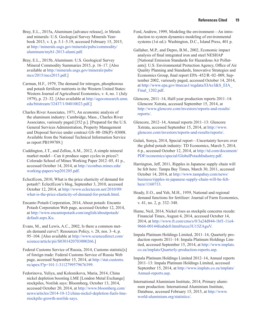Bray, E.L., 2015a, Aluminum [advance release], *in* Metals and minerals: U.S. Geological Survey Minerals Yearbook 2013, v. I, p. 5.1–5.19, accessed February 15, 2015, at [http://minerals.usgs.gov/minerals/pubs/commodity/](http://minerals.usgs.gov/minerals/pubs/commodity/aluminum/myb1-2013-alumi.pdf) [aluminum/myb1-2013-alumi.pdf](http://minerals.usgs.gov/minerals/pubs/commodity/aluminum/myb1-2013-alumi.pdf).

Bray, E.L., 2015b, Aluminum: U.S. Geological Survey Mineral Commodity Summaries 2015, p. 16–17. [Also available at [http://minerals.usgs.gov/minerals/pubs/](http://minerals.usgs.gov/minerals/pubs/mcs/2015/mcs2015.pdf) [mcs/2015/mcs2015.pdf.](http://minerals.usgs.gov/minerals/pubs/mcs/2015/mcs2015.pdf)]

Carman, H.F., 1979, The demand for nitrogen, phosphorous and potash fertilizer nutrients in the Western United States: Western Journal of Agricultural Economics, v. 4, no. 1 (July 1979), p. 23–32. [Also available at [http://ageconsearch.umn.](http://ageconsearch.umn.edu/bitstream/32437/1/04010023.pdf) [edu/bitstream/32437/1/04010023.pdf.](http://ageconsearch.umn.edu/bitstream/32437/1/04010023.pdf)]

Charles River Associates, 1971, An economic analysis of the aluminum industry: Cambridge, Mass., Charles River Associates, variously paged [352 p.]. [Prepared for the U.S. General Services Administration, Property Management and Disposal Service under contract GS–00–DS(P)–03008. Available from the National Technical Information Service as report PB199789.]

Cuddington, J.T., and Zellou, A.M., 2012, A simple mineral market model—Can it produce super cycles in prices?: Colorado School of Mines Working Paper 2012–05, 41 p., accessed October 14, 2014, at [http://econbus.mines.edu/](http://econbus.mines.edu/working-papers/wp201205.pdf) [working-papers/wp201205.pdf.](http://econbus.mines.edu/working-papers/wp201205.pdf)

EclectEcon, 2010, What is the price elasticity of demand for potash?: EclectEcon's blog, September 3, 2010, accessed October 12, 2014, at [http://www.eclectecon.net/2010/09/](http://www.eclectecon.net/2010/09/what-is-the-price-elasticity-of-demand-for-potash.html) [what-is-the-price-elasticity-of-demand-for-potash.html](http://www.eclectecon.net/2010/09/what-is-the-price-elasticity-of-demand-for-potash.html).

Encanto Potash Corporation, 2014, About potash: Encanto Potash Corporation Web page, accessed October 12, 2014, at [http://www.encantopotash.com/english/aboutpotash/](http://www.encantopotash.com/english/aboutpotash/default.aspx.Ku) [default.aspx.Ku](http://www.encantopotash.com/english/aboutpotash/default.aspx.Ku).

Evans, M., and Lewis, A.C., 2002, Is there a common metals demand curve?: Resources Policy, v. 28, nos. 3–4, p. 95–104. [Also available at [http://www.sciencedirect.com/](http://www.sciencedirect.com/science/article/pii/S0301420703000266) [science/article/pii/S0301420703000266.](http://www.sciencedirect.com/science/article/pii/S0301420703000266)]

Federal Customs Service of Russia, 2014, Customs statistic<sup>[s]</sup> of foreign trade: Federal Customs Service of Russia Web page, accessed September 15, 2014, at [http://stat.customs.](http://stat.customs.ru/apex/f?p=101:1:3112799579676399) [ru/apex/f?p=101:1:3112799579676399](http://stat.customs.ru/apex/f?p=101:1:3112799579676399).

Fedorinova, Yuliya, and Kolesnikova, Maria, 2014, China nickel depletion boosting LME [London Metal Exchange] stockpiles, Norilsk says: Bloomberg, October 13, 2014, accessed October 20, 2014, at [http://www.bloomberg.com/](http://www.bloomberg.com/news/articles/2014-10-12/china-nickel-depletion-fuels-lme-stockpile-growth-norilsk-says) [news/articles/2014-10-12/china-nickel-depletion-fuels-lme](http://www.bloomberg.com/news/articles/2014-10-12/china-nickel-depletion-fuels-lme-stockpile-growth-norilsk-says)[stockpile-growth-norilsk-says](http://www.bloomberg.com/news/articles/2014-10-12/china-nickel-depletion-fuels-lme-stockpile-growth-norilsk-says).

Ford, Andrew, 1999, Modeling the environment—An introduction to system dynamics modeling of environmental systems (1st ed.): Washington, D.C., Island Press, 401 p.

Gallaher, M.P., and Depro, B.M., 2002, Economic impact analysis of final integrated iron and steel NESHAP [National Emission Standards for Hazardous Air Pollutants]: U.S. Environmental Protection Agency, Office of Air Quality Planning and Standards, Innovative Strategies and Economics Group, final report EPA–452/R–02–009, September 2002, variously paged, accessed October 14, 2014, at [http://www.epa.gov/ttnecas1/regdata/EIAs/I&S\\_EIA\\_](http://www.epa.gov/ttnecas1/regdata/EIAs/I&S_EIA_Final_1202.pdf) Final 1202.pdf.

Glencore, 2011–14, Half-year production reports 2011–14: Glencore Xstrata, accessed September 15, 2014, at [http://www.glencore.com/investors/reports-and-results/](http://www.glencore.com/investors/reports-and-results/reports/) [reports/.](http://www.glencore.com/investors/reports-and-results/reports/)

Glencore, 2012–14, Annual reports 2011–13: Glencore Xstrata, accessed September 15, 2014, at [http://www.](http://www.glencore.com/investors/reports-and-results/reports/) [glencore.com/investors/reports-and-results/reports/](http://www.glencore.com/investors/reports-and-results/reports/).

Gulati, Sonya, 2014, Special report—Uncertainty hovers over the global potash industry: TD Economics, March 5, 2014, 6 p., accessed October 12, 2014, at [http://td.com/document/](http://td.com/document/PDF/economics/special/GlobalPotashIndustry.pdf) [PDF/economics/special/GlobalPotashIndustry.pdf](http://td.com/document/PDF/economics/special/GlobalPotashIndustry.pdf).

Harrington, Jeff, 2011, Ripples in Japanese supply chain will be felt here: Tampa Bay Times, March 30, 2011, accessed October 14, 2014, at [http://www.tampabay.com/news/](http://www.tampabay.com/news/business/ripples-in-japanese-supply-chain-will-be-felt-here/1160733) [business/ripples-in-japanese-supply-chain-will-be-felt](http://www.tampabay.com/news/business/ripples-in-japanese-supply-chain-will-be-felt-here/1160733)[here/1160733.](http://www.tampabay.com/news/business/ripples-in-japanese-supply-chain-will-be-felt-here/1160733)

Heady, E.O., and Yeh, M.H., 1959, National and regional demand functions for fertilizer: Journal of Farm Economics, v. 41, no. 2, p. 332–348.

Hume, Neil, 2014, Nickel rises as stockpile concerns recede: Financial Times, August 4, 2014, accessed October 14, 2014, at http://www.ft.com/cms/s/0/3a24d844-1bf1-11e4- 9666-00144feabdc0.html#axzz3U15ZAguV.

Impala Platinum Holdings Limited, 2011–14, Quarterly production reports 2011–14: Impala Platinum Holdings Limited, accessed September 15, 2014, at [http://www.implats.](http://www.implats.co.za/implats/Quarterly-production-reports.asp) [co.za/implats/Quarterly-production-reports.asp.](http://www.implats.co.za/implats/Quarterly-production-reports.asp)

Impala Platinum Holdings Limited 2012–14, Annual reports 2011–13: Impala Platinum Holdings Limited, accessed September 15, 2014, at [http://www.implats.co.za/implats/](http://www.implats.co.za/implats/Annual-reports.asp) [Annual-reports.asp](http://www.implats.co.za/implats/Annual-reports.asp).

International Aluminium Institute, 2014, Primary aluminum production: International Aluminium Institute, Database, accessed February 15, 2015, at [http://www.](http://www.world-aluminium.org/statistics/) [world-aluminium.org/statistics/.](http://www.world-aluminium.org/statistics/)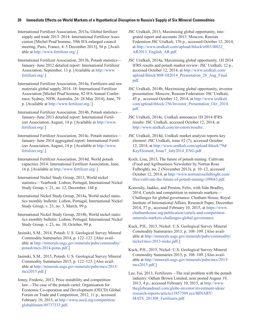#### **20 Immediate Effects on World Markets of a Hypothetical Disruption to Russia's Supply of Six Mineral Commodities**

International Fertilizer Association, 2013a, Global fertilizer supply and trade 2013–2014: International Fertilizer Association [Michel Prud'homme, 39th IFA enlarged council meeting, Paris, France, 4–5 December 2013], 56 p. [Available at [http://www.fertilizer.org/](http://www.fertilizer.org).]

International Fertilizer Association, 2013b, Potash statistics— January–June 2012 detailed report: International Fertilizer Association, September, 13 p. [Available at [http://www.](http://www.fertilizer.org/) [fertilizer.org/](http://www.fertilizer.org/).]

International Fertilizer Association, 2014a, Fertilizers and raw materials global supply 2014–18: International Fertilizer Association [Michel Prud'homme, 82 IFA Annual Conference, Sydney, NSW, Australia, 26–28 May 2014], June, 79 p. [Available at <http://www.fertilizer.org/>.]

International Fertilizer Association, 2014b, Potash statistics— January–June 2013 detailed report: International Fertilizer Association, August, 14 p. [Available at [http://www.](http://www.fertilizer.org/) [fertilizer.org/](http://www.fertilizer.org/).]

International Fertilizer Association, 2014c, Potash statistics— January–June 2014 aggregated report: International Fertilizer Association, August, 14 p. [Available at [http://www.](http://www.fertilizer.org/) [fertilizer.org/](http://www.fertilizer.org/).]

International Fertilizer Association, 2014d, World potash capacities 2014: International Fertilizer Association, June, 16 p. [Available at [http://www.fertilizer.org/.](http://www.fertilizer.org/)]

International Nickel Study Group, 2013, World nickel statistics—Yearbook: Lisbon, Portugal, International Nickel Study Group, v. 21, no. 12, December, 144 p.

International Nickel Study Group, 2014a, World nickel statistics monthly bulletin: Lisbon, Portugal, International Nickel Study Group, v. 23, no. 3, March, 99 p.

International Nickel Study Group, 2014b, World nickel statistics monthly bulletin: Lisbon, Portugal, International Nickel Study Group, v. 23, no. 10, October, 99 p.

Jasinski, S.M., 2014, Potash: U.S. Geological Survey Mineral Commodity Summaries 2014, p. 122–123. [Also available at [http://minerals.usgs.gov/minerals/pubs/commodity/](http://minerals.usgs.gov/minerals/pubs/commodity/potash/mcs-2014-potas.pdf) [potash/mcs-2014-potas.pdf.](http://minerals.usgs.gov/minerals/pubs/commodity/potash/mcs-2014-potas.pdf)]

Jasinski, S.M., 2015, Potash: U.S. Geological Survey Mineral Commodity Summaries 2015, p. 122–123. [Also available at [http://minerals.usgs.gov/minerals/pubs/mcs/2015/](http://minerals.usgs.gov/minerals/pubs/mcs/2015/mcs2015.pdf) [mcs2015.pdf.](http://minerals.usgs.gov/minerals/pubs/mcs/2015/mcs2015.pdf)]

Jenny, Frederic, 2012, Price instability and competition law—The case of the potash cartel: Organisation for Economic Co-operation and Development (OECD) Global Forum on Trade and Competition, 2012, 11 p., accessed February 10, 2015, at [http://www.oecd.org/competition/](http://www.oecd.org/competition/globalforum/49737333.pdf) [globalforum/49737333.pdf](http://www.oecd.org/competition/globalforum/49737333.pdf).

JSC Uralkali, 2013, Maximising global opportunity, integrated report and accounts 2013: Moscow, Russian Federation JSC Uralkali, 176 p., accessed October 12, 2014, at [http://www.uralkali.com/upload/iblock/e08/UR022\\_](http://www.uralkali.com/upload/iblock/e08/UR022_AR2013_English_AR.pdf) [AR2013\\_English\\_AR.pdf](http://www.uralkali.com/upload/iblock/e08/UR022_AR2013_English_AR.pdf).

JSC Uralkali, 2014a, Maximising global opportunity, 1H 2014 IFRS results and potash market review: JSC Uralkali, 12 p., accessed October 12, 2014, at [http://www.uralkali.com/](http://www.uralkali.com/upload/iblock/809/1H2014_Presentation_28_Aug_Final.pdf) upload/iblock/809/1H2014 Presentation 28 Aug Final. [pdf](http://www.uralkali.com/upload/iblock/809/1H2014_Presentation_28_Aug_Final.pdf).

JSC Uralkali, 2014b, Maximising global opportunity, investor presentation: Moscow, Russian Federation: JSC Uralkali, 45 p., accessed October 12, 2014, at [http://www.uralkali.](http://www.uralkali.com/upload/iblock/256/Investor_Presentation_Oct_2014.pdf) [com/upload/iblock/256/Investor\\_Presentation\\_Oct\\_2014.](http://www.uralkali.com/upload/iblock/256/Investor_Presentation_Oct_2014.pdf) [pdf](http://www.uralkali.com/upload/iblock/256/Investor_Presentation_Oct_2014.pdf).

JSC Uralkali, 2014c, Uralkali announces 1H 2014 IFRS results: JSC Uralkali, accessed October 12, 2014, at <http://www.uralkali.com/investors/results/>.

JSC Uralkali, 2014d, Uralkali market analysis reports key element: JSC Uralkali, issue #2 (7), accessed October 12, 2014, at [http://www.uralkali.com/upload/iblock/79d/](http://www.uralkali.com/upload/iblock/79d/KeyElement_Issue7_July2014_ENG.pdf) [KeyElement\\_Issue7\\_July2014\\_ENG.pdf](http://www.uralkali.com/upload/iblock/79d/KeyElement_Issue7_July2014_ENG.pdf).

Koch, Lisa, 2013, The future of potash mining: Cultivate (Food and Agribusiness Newsletter by Norton Rose Fulbright), no. 2 (November 2013), p. 10–12, accessed October 12, 2014, at [http://www.nortonrosefulbright.com/](http://www.nortonrosefulbright.com/files/cultivate-the-future-of-potash-mining-109683.pdf) [files/cultivate-the-future-of-potash-mining-109683.pdf](http://www.nortonrosefulbright.com/files/cultivate-the-future-of-potash-mining-109683.pdf).

Kooroshy, Jaakko, and Preston, Felix, with Siân Bradley, 2014, Cartels and competition in minerals markets— Challenges for global governance: Chatham House, Royal Institute of International Affairs, Research Paper, December 2014, 57 p., accessed February 10, 2015, at [https://www.](https://www.chathamhouse.org/publication/cartels-and-competition-minerals-markets-challenges-global-) [chathamhouse.org/publication/cartels-and-competition](https://www.chathamhouse.org/publication/cartels-and-competition-minerals-markets-challenges-global-)[minerals-markets-challenges-global-governance.](https://www.chathamhouse.org/publication/cartels-and-competition-minerals-markets-challenges-global-)

Kuck, P.H., 2013, Nickel: U.S. Geological Survey Mineral Commodity Summaries 2013, p. 108–109. [Also available at [http://minerals.usgs.gov/minerals/pubs/commodity/](http://minerals.usgs.gov/minerals/pubs/commodity/nickel/mcs-2013-nicke.pdf) [nickel/mcs-2013-nicke.pdf](http://minerals.usgs.gov/minerals/pubs/commodity/nickel/mcs-2013-nicke.pdf).]

Kuck, P.H., 2015, Nickel: U.S. Geological Survey Mineral Commodity Summaries 2015, p. 108–109. [Also available at [http://minerals.usgs.gov/minerals/pubs/mcs/2015/](http://minerals.usgs.gov/minerals/pubs/mcs/2015/mcs2015.pdf) [mcs2015.pdf.](http://minerals.usgs.gov/minerals/pubs/mcs/2015/mcs2015.pdf)]

Lee, Fai, 2013, Fertilizers—The real problem with the potash industry: Odlum Brown Limited, note posted August 19, 2013, 4 p., accessed February 10, 2015, at [http://www.](http://www.theglobeandmail.com/globe-investor/investment-ideas/research-reports/article13857509.ece/BINARY/MATS_201308_Fertilizers.pdf) [theglobeandmail.com/globe-investor/investment-ideas/](http://www.theglobeandmail.com/globe-investor/investment-ideas/research-reports/article13857509.ece/BINARY/MATS_201308_Fertilizers.pdf) [research-reports/article13857509.ece/BINARY/](http://www.theglobeandmail.com/globe-investor/investment-ideas/research-reports/article13857509.ece/BINARY/MATS_201308_Fertilizers.pdf) MATS 201308 Fertilizers.pdf.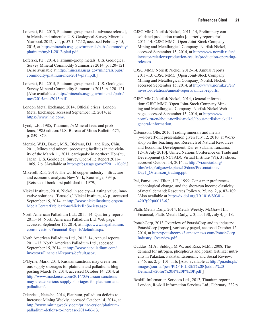Loferski, P.J., 2013, Platinum-group metals [advance release], *in* Metals and minerals: U.S. Geological Survey Minerals Yearbook 2012, v. I, p. 57.1–57.12, accessed February 15, 2015, at [http://minerals.usgs.gov/minerals/pubs/commodity/](http://minerals.usgs.gov/minerals/pubs/commodity/platinum/myb1-2012-plati.pdf) [platinum/myb1-2012-plati.pdf](http://minerals.usgs.gov/minerals/pubs/commodity/platinum/myb1-2012-plati.pdf).

Loferski, P.J., 2014, Platinum-group metals: U.S. Geological Survey Mineral Commodity Summaries 2014, p. 120–121. [Also available at [http://minerals.usgs.gov/minerals/pubs/](http://minerals.usgs.gov/minerals/pubs/commodity/platinum/mcs-2014-plati.pdf) [commodity/platinum/mcs-2014-plati.pdf](http://minerals.usgs.gov/minerals/pubs/commodity/platinum/mcs-2014-plati.pdf).]

Loferski, P.J., 2015, Platinum-group metals: U.S. Geological Survey Mineral Commodity Summaries 2015, p. 120–121. [Also available at [http://minerals.usgs.gov/minerals/pubs/](http://minerals.usgs.gov/minerals/pubs/mcs/2015/mcs2015.pdf) [mcs/2015/mcs2015.pdf.](http://minerals.usgs.gov/minerals/pubs/mcs/2015/mcs2015.pdf)]

London Metal Exchange, 2014, Official prices: London Metal Exchange, accessed September 12, 2014, at [https://www.lme.com/.](https://www.lme.com/)

Lynd, L.E., 1985, Titanium, *in* Mineral facts and problems, 1985 edition: U.S. Bureau of Mines Bulletin 675, p. 859–879.

Menzie, W.D., Baker, M.S., Bleiwas, D.I., and Kuo, Chin, 2011, Mines and mineral processing facilities in the vicinity of the March 11, 2011, earthquake in northern Honshu, Japan: U.S. Geological Survey Open-File Report 2011– 1069, 7 p. [Available at [http://pubs.usgs.gov/of/2011/1069/.](http://pubs.usgs.gov/of/2011/1069/)]

Mikesell, R.F., 2013, The world copper industry—Structure and economic analysis: New York, Routledge, 393 p. [Reissue of book first published in 1979.]

Nickel Institute, 2010, Nickel in society—Lasting value, innovative solutions: [Brussels,] Nickel Institute, 43 p., accessed September 15, 2014, at [http://www.nickelinstitute.org/en/](http://www.nickelinstitute.org/en/MediaCentre/Publications/NickelInSociety.aspx) [MediaCentre/Publications/NickelInSociety.aspx](http://www.nickelinstitute.org/en/MediaCentre/Publications/NickelInSociety.aspx).

North American Palladium Ltd., 2011–14, Quarterly reports 2011–14: North American Palladium Ltd. Web page, accessed September 15, 2014, at [http://www.napalladium.](http://www.napalladium.com/investors/Financial-Reports/default.aspx) [com/investors/Financial-Reports/default.aspx.](http://www.napalladium.com/investors/Financial-Reports/default.aspx)

North American Palladium Ltd., 2012–14, Annual reports 2011–13: North American Palladium Ltd., accessed September 15, 2014, at [http://www.napalladium.com/](http://www.napalladium.com/investors/Financial-Reports/default.aspx) [investors/Financial-Reports/default.aspx.](http://www.napalladium.com/investors/Financial-Reports/default.aspx)

O'Byrne, Mark, 2014, Russian sanctions may create serious supply shortages for platinum and palladium: blog posting March 18, 2014, accessed October 14, 2014, at [http://www.maxkeiser.com/2014/03/russian-sanctions](http://www.maxkeiser.com/2014/03/russian-sanctions-may-create-serious-supply-shortages-for-platinum-and-palladium/)[may-create-serious-supply-shortages-for-platinum-and](http://www.maxkeiser.com/2014/03/russian-sanctions-may-create-serious-supply-shortages-for-platinum-and-palladium/)[palladium/.](http://www.maxkeiser.com/2014/03/russian-sanctions-may-create-serious-supply-shortages-for-platinum-and-palladium/)

Odendaal, Natasha, 2014, Platinum, palladium deficits to increase: Mining Weekly, accessed October 14, 2014, at [http://www.miningweekly.com/print-version/platinum](http://www.miningweekly.com/print-version/platinum-palladium-deficits-to-increase-2014-06-13)[palladium-deficits-to-increase-2014-06-13](http://www.miningweekly.com/print-version/platinum-palladium-deficits-to-increase-2014-06-13).

OJSC MMC Norilsk Nickel, 2011–14, Preliminary consolidated production results [quarterly reports for] 2011–14: OJSC MMC [Open Joint-Stock Company Mining and Metallurgical Company] Norilsk Nickel, accessed September 15, 2014, at [http://www.nornik.ru/en/](http://www.nornik.ru/en/investor-relations/production-results/production-operating-releases) [investor-relations/production-results/production-operating](http://www.nornik.ru/en/investor-relations/production-results/production-operating-releases)[releases.](http://www.nornik.ru/en/investor-relations/production-results/production-operating-releases)

OJSC MMC Norilsk Nickel, 2012–14, Annual reports 2011–13: OJSC MMC [Open Joint-Stock Company Mining and Metallurgical Company] Norilsk Nickel, accessed September 15, 2014, at [http://www.nornik.ru/en/](http://www.nornik.ru/en/investor-relations/annual-reports/annual-reports) [investor-relations/annual-reports/annual-reports.](http://www.nornik.ru/en/investor-relations/annual-reports/annual-reports)

OJSC MMC Norilsk Nickel, 2014, General information: OJSC MMC [Open Joint-Stock Company Mining and Metallurgical Company] Norilsk Nickel Web page, accessed September 15, 2014, at [http://www.](http://www.nornik.ru/en/about-norilsk-nickel/about-norilsk-nickel1/general-information) [nornik.ru/en/about-norilsk-nickel/about-norilsk-nickel1/](http://www.nornik.ru/en/about-norilsk-nickel/about-norilsk-nickel1/general-information) [general-information.](http://www.nornik.ru/en/about-norilsk-nickel/about-norilsk-nickel1/general-information)

Östensson, Olle, 2010, Trading minerals and metals [—PowerPoint presentation given July 12, 2010, at Workshop on the Teaching and Research of Natural Resources and Economic Development, Dar es Salaam, Tanzania, 12–16 July 2010]: United Nations Conference on Trade and Development (UNCTAD), Virtual Institute (VI), 31 slides, accessed October 14, 2014, at [http://vi.unctad.org/](http://vi.unctad.org/files/wksp/oilgaswksptanz10/docs/Presentations/Day1_Ostensson_trading.ppt) [files/wksp/oilgaswksptanz10/docs/Presentations/](http://vi.unctad.org/files/wksp/oilgaswksptanz10/docs/Presentations/Day1_Ostensson_trading.ppt) [Day1\\_Ostensson\\_trading.ppt](http://vi.unctad.org/files/wksp/oilgaswksptanz10/docs/Presentations/Day1_Ostensson_trading.ppt).

Pei, Fanyu, and Tilton, J.E., 1999, Consumer preferences, technological change, and the short-run income elasticity of metal demand: Resources Policy v. 25, no. 2, p. 87–109. [Also available at [http://dx.doi.org/10.1016/S0301-](http://dx.doi.org/10.1016/S0301-4207(99)00013-6) [4207\(99\)00013-6.](http://dx.doi.org/10.1016/S0301-4207(99)00013-6)]

Platts Metals Daily, 2014, Metals Weekly: McGraw Hill Financial, Platts Metals Daily, v. 3, no. 130, July 4, p. 18.

PotashCorp, 2013 Overview of PotashCorp and its industry: PotashCorp [report], variously paged, accessed October 12, 2014, at [http://potashcorp.s3.amazonaws.com/PotashCorp\\_](http://potashcorp.s3.amazonaws.com/PotashCorp_Industry_Overview.pdf) [Industry\\_Overview.pdf](http://potashcorp.s3.amazonaws.com/PotashCorp_Industry_Overview.pdf).

Quddus, M.A., Siddiqi, M.W., and Riaz, M.M., 2008, The demand for nitrogen, phosphorus and potash fertilizer nutrients in Pakistan: Pakistan Economic and Social Review, v. 46, no. 2, p. 101–116. [Also available at [http://pu.edu.pk/](http://pu.edu.pk/images/journal/pesr/PDF-FILES/2%20Quddus%20Demand%20for%20N%20P%20P.pdf) [images/journal/pesr/PDF-FILES/2%20Quddus%20](http://pu.edu.pk/images/journal/pesr/PDF-FILES/2%20Quddus%20Demand%20for%20N%20P%20P.pdf) [Demand%20for%20N%20P%20P.pdf](http://pu.edu.pk/images/journal/pesr/PDF-FILES/2%20Quddus%20Demand%20for%20N%20P%20P.pdf).]

Roskill Information Services Ltd., 2013, Titanium report: London, Roskill Information Services Ltd., February, 222 p.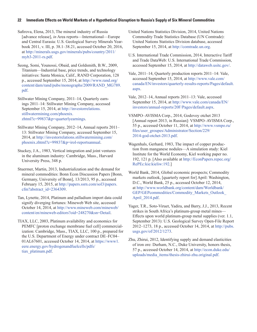#### **22 Immediate Effects on World Markets of a Hypothetical Disruption to Russia's Supply of Six Mineral Commodities**

Safirova, Elena, 2013, The mineral industry of Russia [advance release], *in* Area reports—International—Europe and Central Eurasia: U.S. Geological Survey Minerals Yearbook 2011, v. III, p. 38.1–38.21, accessed October 20, 2016, at [http://minerals.usgs.gov/minerals/pubs/country/2011/](http://minerals.usgs.gov/minerals/pubs/country/2011/myb3-2011-rs.pdf) [myb3-2011-rs.pdf](http://minerals.usgs.gov/minerals/pubs/country/2011/myb3-2011-rs.pdf).

Seong, Somi, Younossi, Obaid, and Goldsmith, B.W., 2009, Titanium—Industrial base, price trends, and technology initiatives: Santa Monica, Calif., RAND Corporation, 128 p., accessed September 15, 2014, at [http://www.rand.org/](http://www.rand.org/content/dam/rand/pubs/monographs/2009/RAND_MG789.pdf) [content/dam/rand/pubs/monographs/2009/RAND\\_MG789.](http://www.rand.org/content/dam/rand/pubs/monographs/2009/RAND_MG789.pdf) [pdf](http://www.rand.org/content/dam/rand/pubs/monographs/2009/RAND_MG789.pdf).

Stillwater Mining Company, 2011–14, Quarterly earnings 2011–14: Stillwater Mining Company, accessed September 15, 2014, at [http://investorrelations.](http://investorrelations.stillwatermining.com/phoenix.zhtml?c=99837&p=quarterlyearnings) [stillwatermining.com/phoenix.](http://investorrelations.stillwatermining.com/phoenix.zhtml?c=99837&p=quarterlyearnings) [zhtml?c=99837&p=quarterlyearnings.](http://investorrelations.stillwatermining.com/phoenix.zhtml?c=99837&p=quarterlyearnings)

Stillwater Mining Company, 2012–14, Annual reports 2011– 13: Stillwater Mining Company, accessed September 15, 2014, at [http://investorrelations.stillwatermining.com/](http://investorrelations.stillwatermining.com/phoenix.zhtml?c=99837&p=irol-reportsannual) [phoenix.zhtml?c=99837&p=irol-reportsannual](http://investorrelations.stillwatermining.com/phoenix.zhtml?c=99837&p=irol-reportsannual).

Stuckey, J.A., 1983, Vertical integration and joint ventures in the aluminum industry: Cambridge, Mass., Harvard University Press, 348 p.

Stuermer, Martin, 2013, Industrialization and the demand for mineral commodities: Bonn Econ Discussion Papers [Bonn, Germany, University of Bonn], 13/2013, 95 p., accessed February 15, 2015, at [http://papers.ssrn.com/sol3/papers.](http://papers.ssrn.com/sol3/papers.cfm?abstract_id=2364309) [cfm?abstract\\_id=2364309](http://papers.ssrn.com/sol3/papers.cfm?abstract_id=2364309).

Tan, Lynette, 2014, Platinum and palladium import data could signify diverging fortunes: Mineweb Web site, accessed October 14, 2014, at [http://www.mineweb.com/mineweb/](http://www.mineweb.com/mineweb/content/en/mineweb-editors?oid=248270&sn=Detail) [content/en/mineweb-editors?oid=248270&sn=Detail](http://www.mineweb.com/mineweb/content/en/mineweb-editors?oid=248270&sn=Detail).

TIAX, LLC, 2003, Platinum availability and economics for PEMFC [proton exchange membrane fuel cell] commercialization: Cambridge, Mass., TIAX, LLC, 100 p., prepared for the U.S. Department of Energy under contract DE–FC04– 01AL67601, accessed October 14, 2014, at [https://www1.](https://www1.eere.energy.gov/hydrogenandfuelcells/pdfs/tiax_platinum.pdf) [eere.energy.gov/hydrogenandfuelcells/pdfs/](https://www1.eere.energy.gov/hydrogenandfuelcells/pdfs/tiax_platinum.pdf) [tiax\\_platinum.pdf](https://www1.eere.energy.gov/hydrogenandfuelcells/pdfs/tiax_platinum.pdf).

United Nations Statistics Division, 2014, United Nations Commodity Trade Statistics Database (UN Comtrade): United Nations Statistics Division database, accessed September 15, 2014, at <http://comtrade.un.org>.

U.S. International Trade Commission, 2014, Interactive Tariff and Trade DataWeb: U.S. International Trade Commission, accessed September 15, 2014, at<http://dataweb.usitc.gov/>.

Vale, 2011–14, Quarterly production reports 2011–14: Vale, accessed September 15, 2014, at [http://www.vale.com/](http://www.vale.com/canada/EN/investors/quarterly-results-reports/Pages/default.aspx) [canada/EN/investors/quarterly-results-reports/Pages/default.](http://www.vale.com/canada/EN/investors/quarterly-results-reports/Pages/default.aspx) [aspx](http://www.vale.com/canada/EN/investors/quarterly-results-reports/Pages/default.aspx).

- Vale, 2012–14, Annual reports 2011–13: Vale, accessed September 15, 2014, at [http://www.vale.com/canada/EN/](http://www.vale.com/canada/EN/investors/annual-reports/20F/Pages/default.aspx) [investors/annual-reports/20F/Pages/default.aspx](http://www.vale.com/canada/EN/investors/annual-reports/20F/Pages/default.aspx).
- VSMPO–AVISMA Corp., 2014, Godovoy otchet 2013 [Annual report 2013, in Russian]: VSMPO–AVISMA Corp., 55 p., accessed October 11, 2014, at [http://www.vsmpo.ru/](http://www.vsmpo.ru/files/user_groupes/Administrator/Section/229/2014-god-otchet-2013.pdf) [files/user\\_groupes/Administrator/Section/229/](http://www.vsmpo.ru/files/user_groupes/Administrator/Section/229/2014-god-otchet-2013.pdf) [2014-god-otchet-2013.pdf](http://www.vsmpo.ru/files/user_groupes/Administrator/Section/229/2014-god-otchet-2013.pdf).
- Wagenhals, Gerhard, 1983, The impact of copper production from manganese nodules—A simulation study: Kiel Institute for the World Economy, Kiel working paper no. 192, 121 p. [Also available at [http://EconPapers.repec.org/](http://EconPapers.repec.org/RePEc:kie:kieliw:192) [RePEc:kie:kieliw:192.](http://EconPapers.repec.org/RePEc:kie:kieliw:192)]

World Bank, 2014, Global economic prospects; Commodity markets outlook, [quarterly report for] April: Washington, D.C., World Bank, 25 p., accessed October 12, 2014, at [http://www.worldbank.org/content/dam/Worldbank/](http://www.worldbank.org/content/dam/Worldbank/GEP/GEPcommodities/Commodity_Markets_Outlook_April_2014.pdf) GEP/GEPcommodities/Commodity\_Markets\_Outlook [April\\_2014.pdf](http://www.worldbank.org/content/dam/Worldbank/GEP/GEPcommodities/Commodity_Markets_Outlook_April_2014.pdf).

Yager, T.R., Soto-Viruet, Yadira, and Barry, J.J., 2013, Recent strikes in South Africa's platinum-group metal mines— Effects upon world platinum-group metal supplies (ver. 1.1, September 2013): U.S. Geological Survey Open-File Report 2012–1273, 18 p., accessed October 14, 2014, at [http://pubs.](http://pubs.usgs.gov/of/2012/1273) [usgs.gov/of/2012/1273.](http://pubs.usgs.gov/of/2012/1273)

Zhu, Zhirui, 2012, Identifying supply and demand elasticities of iron ore: Durham, N.C., Duke University, honors thesis, 57 p., accessed October 14, 2014, at http://econ.duke.edu/ uploads/media\_items/thesis-zhirui-zhu.original.pdf.